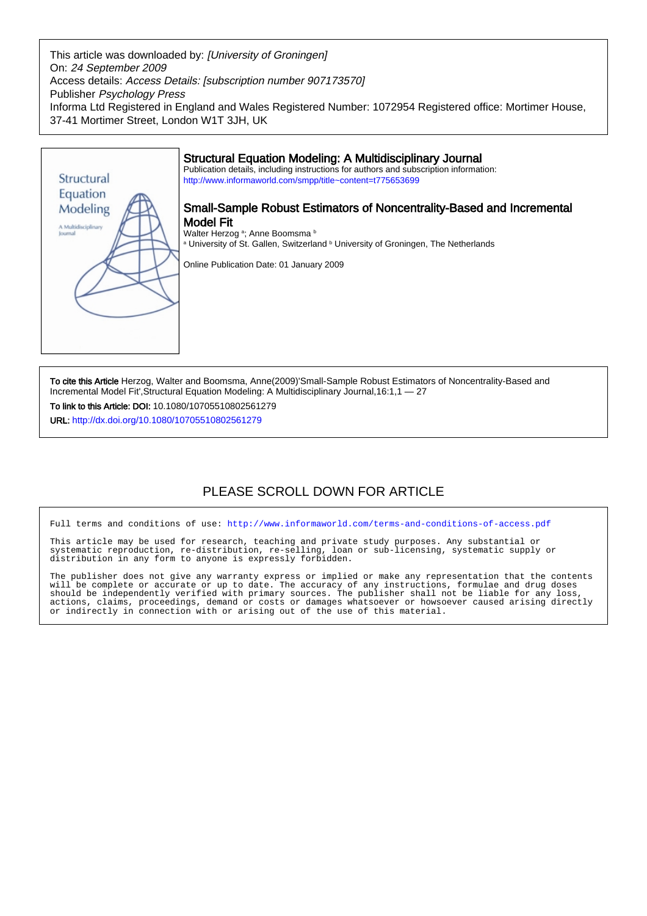This article was downloaded by: [University of Groningen] On: 24 September 2009 Access details: Access Details: [subscription number 907173570] Publisher Psychology Press Informa Ltd Registered in England and Wales Registered Number: 1072954 Registered office: Mortimer House, 37-41 Mortimer Street, London W1T 3JH, UK



To cite this Article Herzog, Walter and Boomsma, Anne(2009)'Small-Sample Robust Estimators of Noncentrality-Based and Incremental Model Fit',Structural Equation Modeling: A Multidisciplinary Journal,16:1,1 — 27

To link to this Article: DOI: 10.1080/10705510802561279

URL: <http://dx.doi.org/10.1080/10705510802561279>

## PLEASE SCROLL DOWN FOR ARTICLE

Full terms and conditions of use:<http://www.informaworld.com/terms-and-conditions-of-access.pdf>

This article may be used for research, teaching and private study purposes. Any substantial or systematic reproduction, re-distribution, re-selling, loan or sub-licensing, systematic supply or distribution in any form to anyone is expressly forbidden.

The publisher does not give any warranty express or implied or make any representation that the contents will be complete or accurate or up to date. The accuracy of any instructions, formulae and drug doses should be independently verified with primary sources. The publisher shall not be liable for any loss, actions, claims, proceedings, demand or costs or damages whatsoever or howsoever caused arising directly or indirectly in connection with or arising out of the use of this material.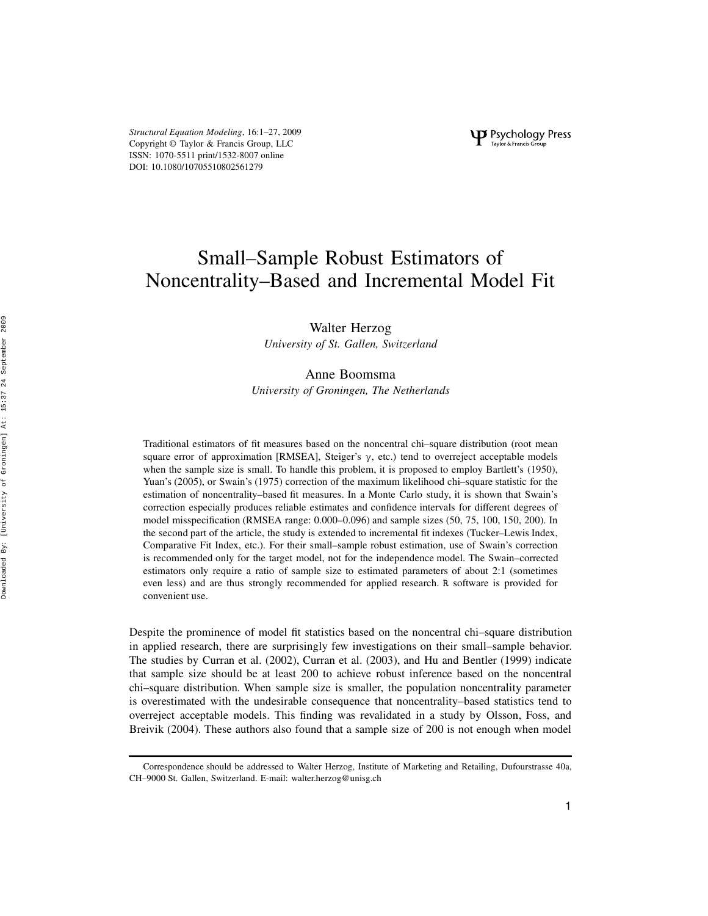$\mathbf\Psi$  Psychology Press

Structural Equation Modeling, 16:1–27, 2009 Copyright © Taylor & Francis Group, LLC ISSN: 1070-5511 print/1532-8007 online DOI: 10.1080/10705510802561279

# Small–Sample Robust Estimators of Noncentrality–Based and Incremental Model Fit

Walter Herzog University of St. Gallen, Switzerland

## Anne Boomsma

University of Groningen, The Netherlands

Traditional estimators of fit measures based on the noncentral chi–square distribution (root mean square error of approximation [RMSEA], Steiger's  $\gamma$ , etc.) tend to overreject acceptable models when the sample size is small. To handle this problem, it is proposed to employ Bartlett's (1950), Yuan's (2005), or Swain's (1975) correction of the maximum likelihood chi–square statistic for the estimation of noncentrality–based fit measures. In a Monte Carlo study, it is shown that Swain's correction especially produces reliable estimates and confidence intervals for different degrees of model misspecification (RMSEA range: 0.000–0.096) and sample sizes (50, 75, 100, 150, 200). In the second part of the article, the study is extended to incremental fit indexes (Tucker–Lewis Index, Comparative Fit Index, etc.). For their small–sample robust estimation, use of Swain's correction is recommended only for the target model, not for the independence model. The Swain–corrected estimators only require a ratio of sample size to estimated parameters of about 2:1 (sometimes even less) and are thus strongly recommended for applied research. R software is provided for convenient use.

Despite the prominence of model fit statistics based on the noncentral chi–square distribution in applied research, there are surprisingly few investigations on their small–sample behavior. The studies by Curran et al. (2002), Curran et al. (2003), and Hu and Bentler (1999) indicate that sample size should be at least 200 to achieve robust inference based on the noncentral chi–square distribution. When sample size is smaller, the population noncentrality parameter is overestimated with the undesirable consequence that noncentrality–based statistics tend to overreject acceptable models. This finding was revalidated in a study by Olsson, Foss, and Breivik (2004). These authors also found that a sample size of 200 is not enough when model

Correspondence should be addressed to Walter Herzog, Institute of Marketing and Retailing, Dufourstrasse 40a, CH–9000 St. Gallen, Switzerland. E-mail: walter.herzog@unisg.ch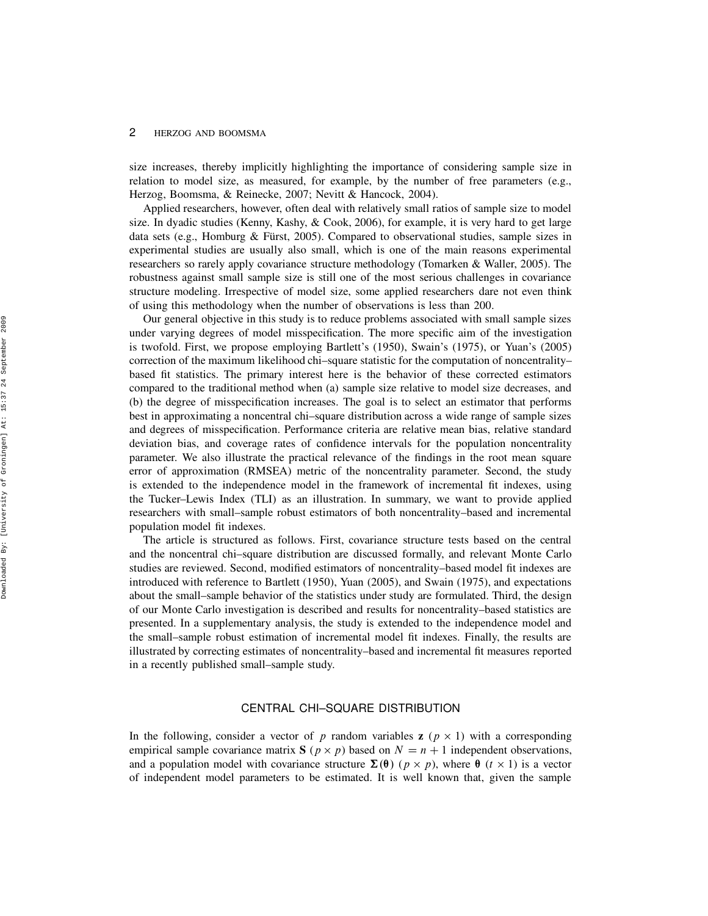size increases, thereby implicitly highlighting the importance of considering sample size in relation to model size, as measured, for example, by the number of free parameters (e.g., Herzog, Boomsma, & Reinecke, 2007; Nevitt & Hancock, 2004).

Applied researchers, however, often deal with relatively small ratios of sample size to model size. In dyadic studies (Kenny, Kashy, & Cook, 2006), for example, it is very hard to get large data sets (e.g., Homburg & Fürst, 2005). Compared to observational studies, sample sizes in experimental studies are usually also small, which is one of the main reasons experimental researchers so rarely apply covariance structure methodology (Tomarken & Waller, 2005). The robustness against small sample size is still one of the most serious challenges in covariance structure modeling. Irrespective of model size, some applied researchers dare not even think of using this methodology when the number of observations is less than 200.

Our general objective in this study is to reduce problems associated with small sample sizes under varying degrees of model misspecification. The more specific aim of the investigation is twofold. First, we propose employing Bartlett's (1950), Swain's (1975), or Yuan's (2005) correction of the maximum likelihood chi–square statistic for the computation of noncentrality– based fit statistics. The primary interest here is the behavior of these corrected estimators compared to the traditional method when (a) sample size relative to model size decreases, and (b) the degree of misspecification increases. The goal is to select an estimator that performs best in approximating a noncentral chi–square distribution across a wide range of sample sizes and degrees of misspecification. Performance criteria are relative mean bias, relative standard deviation bias, and coverage rates of confidence intervals for the population noncentrality parameter. We also illustrate the practical relevance of the findings in the root mean square error of approximation (RMSEA) metric of the noncentrality parameter. Second, the study is extended to the independence model in the framework of incremental fit indexes, using the Tucker–Lewis Index (TLI) as an illustration. In summary, we want to provide applied researchers with small–sample robust estimators of both noncentrality–based and incremental population model fit indexes.

The article is structured as follows. First, covariance structure tests based on the central and the noncentral chi–square distribution are discussed formally, and relevant Monte Carlo studies are reviewed. Second, modified estimators of noncentrality–based model fit indexes are introduced with reference to Bartlett (1950), Yuan (2005), and Swain (1975), and expectations about the small–sample behavior of the statistics under study are formulated. Third, the design of our Monte Carlo investigation is described and results for noncentrality–based statistics are presented. In a supplementary analysis, the study is extended to the independence model and the small–sample robust estimation of incremental model fit indexes. Finally, the results are illustrated by correcting estimates of noncentrality–based and incremental fit measures reported in a recently published small–sample study.

#### CENTRAL CHI–SQUARE DISTRIBUTION

In the following, consider a vector of p random variables  $z$  ( $p \times 1$ ) with a corresponding empirical sample covariance matrix **S** ( $p \times p$ ) based on  $N = n + 1$  independent observations, and a population model with covariance structure  $\Sigma(\theta)$   $(p \times p)$ , where  $\theta$   $(t \times 1)$  is a vector of independent model parameters to be estimated. It is well known that, given the sample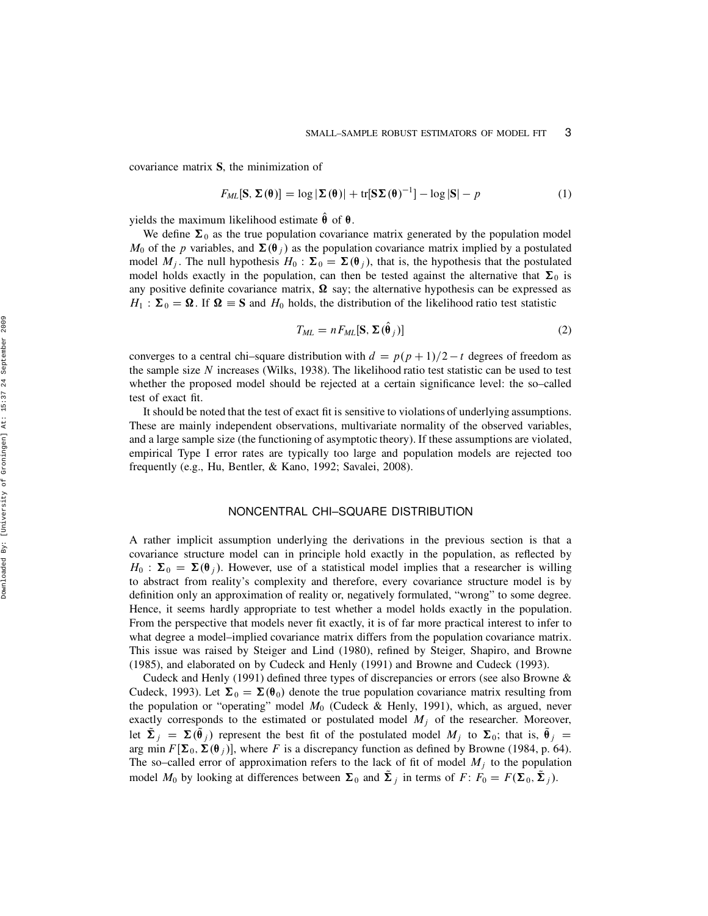covariance matrix S, the minimization of

$$
F_{ML}[\mathbf{S}, \Sigma(\mathbf{\theta})] = \log |\Sigma(\mathbf{\theta})| + \text{tr}[\mathbf{S}\Sigma(\mathbf{\theta})^{-1}] - \log |\mathbf{S}| - p \tag{1}
$$

yields the maximum likelihood estimate  $\hat{\theta}$  of  $\theta$ .

We define  $\Sigma_0$  as the true population covariance matrix generated by the population model  $M_0$  of the p variables, and  $\Sigma(\theta_j)$  as the population covariance matrix implied by a postulated model  $M_j$ . The null hypothesis  $H_0$ :  $\Sigma_0 = \Sigma(\theta_j)$ , that is, the hypothesis that the postulated model holds exactly in the population, can then be tested against the alternative that  $\Sigma_0$  is any positive definite covariance matrix,  $\Omega$  say; the alternative hypothesis can be expressed as  $H_1$ :  $\Sigma_0 = \Omega$ . If  $\Omega = S$  and  $H_0$  holds, the distribution of the likelihood ratio test statistic

$$
T_{ML} = nF_{ML}[\mathbf{S}, \Sigma(\hat{\theta}_j)]
$$
 (2)

converges to a central chi-square distribution with  $d = p(p+1)/2 - t$  degrees of freedom as the sample size N increases (Wilks, 1938). The likelihood ratio test statistic can be used to test whether the proposed model should be rejected at a certain significance level: the so–called test of exact fit.

It should be noted that the test of exact fit is sensitive to violations of underlying assumptions. These are mainly independent observations, multivariate normality of the observed variables, and a large sample size (the functioning of asymptotic theory). If these assumptions are violated, empirical Type I error rates are typically too large and population models are rejected too frequently (e.g., Hu, Bentler, & Kano, 1992; Savalei, 2008) .

### NONCENTRAL CHI–SQUARE DISTRIBUTION

A rather implicit assumption underlying the derivations in the previous section is that a covariance structure model can in principle hold exactly in the population, as reflected by  $H_0$ :  $\Sigma_0 = \Sigma(\theta_i)$ . However, use of a statistical model implies that a researcher is willing to abstract from reality's complexity and therefore, every covariance structure model is by definition only an approximation of reality or, negatively formulated, "wrong" to some degree. Hence, it seems hardly appropriate to test whether a model holds exactly in the population. From the perspective that models never fit exactly, it is of far more practical interest to infer to what degree a model–implied covariance matrix differs from the population covariance matrix. This issue was raised by Steiger and Lind (1980), refined by Steiger, Shapiro, and Browne (1985), and elaborated on by Cudeck and Henly (1991) and Browne and Cudeck (1993).

Cudeck and Henly (1991) defined three types of discrepancies or errors (see also Browne & Cudeck, 1993). Let  $\Sigma_0 = \Sigma(\theta_0)$  denote the true population covariance matrix resulting from the population or "operating" model  $M_0$  (Cudeck & Henly, 1991), which, as argued, never exactly corresponds to the estimated or postulated model  $M_j$  of the researcher. Moreover, let  $\tilde{\Sigma}_j = \Sigma(\tilde{\theta}_j)$  represent the best fit of the postulated model  $M_j$  to  $\Sigma_0$ ; that is,  $\tilde{\theta}_j =$ arg min  $F[\Sigma_0, \Sigma(\theta_j)]$ , where F is a discrepancy function as defined by Browne (1984, p. 64). The so–called error of approximation refers to the lack of fit of model  $M_j$  to the population model  $M_0$  by looking at differences between  $\Sigma_0$  and  $\tilde{\Sigma}_j$  in terms of  $F: F_0 = F(\Sigma_0, \tilde{\Sigma}_j)$ .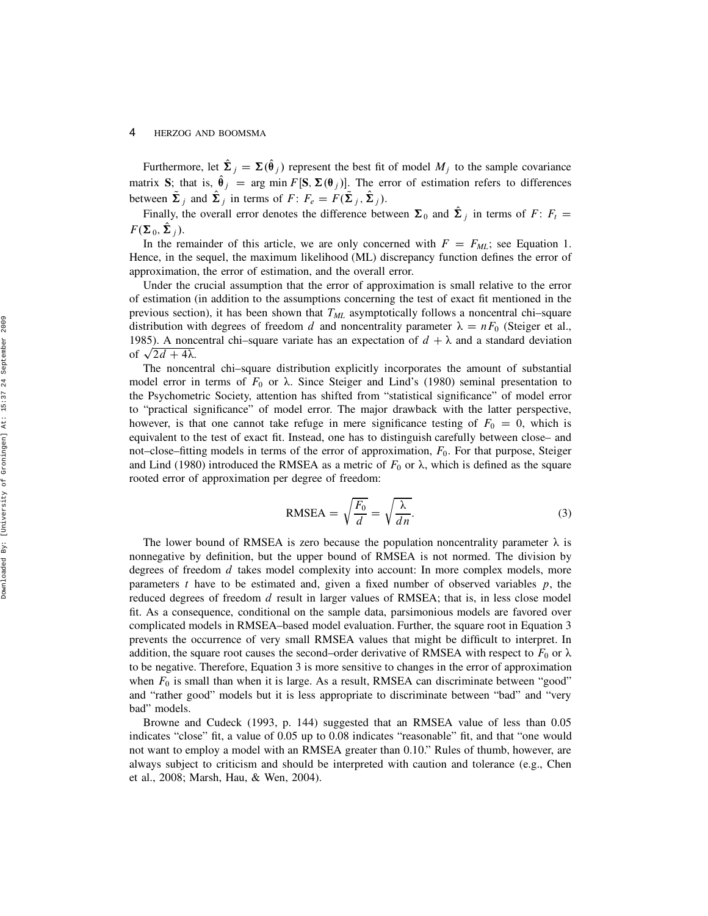Furthermore, let  $\hat{\Sigma}_j = \Sigma(\hat{\theta}_j)$  represent the best fit of model  $M_j$  to the sample covariance matrix S; that is,  $\hat{\theta}_j$  = arg min  $F[S, \Sigma(\theta_j)]$ . The error of estimation refers to differences between  $\tilde{\Sigma}_j$  and  $\hat{\Sigma}_j$  in terms of  $F: F_e = F(\tilde{\Sigma}_j, \hat{\Sigma}_j)$ .

Finally, the overall error denotes the difference between  $\Sigma_0$  and  $\hat{\Sigma}_j$  in terms of F:  $F_t$  =  $F(\mathbf{\Sigma}_0, \hat{\mathbf{\Sigma}}_j).$ 

In the remainder of this article, we are only concerned with  $F = F_{ML}$ ; see Equation 1. Hence, in the sequel, the maximum likelihood (ML) discrepancy function defines the error of approximation, the error of estimation, and the overall error.

Under the crucial assumption that the error of approximation is small relative to the error of estimation (in addition to the assumptions concerning the test of exact fit mentioned in the previous section), it has been shown that  $T_{ML}$  asymptotically follows a noncentral chi-square distribution with degrees of freedom d and noncentrality parameter  $\lambda = nF_0$  (Steiger et al., 1985). A noncentral chi–square variate has an expectation of  $d + \lambda$  and a standard deviation of  $\sqrt{2d+4\lambda}$ .

The noncentral chi–square distribution explicitly incorporates the amount of substantial model error in terms of  $F_0$  or  $\lambda$ . Since Steiger and Lind's (1980) seminal presentation to the Psychometric Society, attention has shifted from "statistical significance" of model error to "practical significance" of model error. The major drawback with the latter perspective, however, is that one cannot take refuge in mere significance testing of  $F_0 = 0$ , which is equivalent to the test of exact fit. Instead, one has to distinguish carefully between close– and not–close–fitting models in terms of the error of approximation,  $F_0$ . For that purpose, Steiger and Lind (1980) introduced the RMSEA as a metric of  $F_0$  or  $\lambda$ , which is defined as the square rooted error of approximation per degree of freedom:

RMSEA = 
$$
\sqrt{\frac{F_0}{d}} = \sqrt{\frac{\lambda}{dn}}
$$
. (3)

The lower bound of RMSEA is zero because the population noncentrality parameter  $\lambda$  is nonnegative by definition, but the upper bound of RMSEA is not normed. The division by degrees of freedom  $d$  takes model complexity into account: In more complex models, more parameters  $t$  have to be estimated and, given a fixed number of observed variables  $p$ , the reduced degrees of freedom  $d$  result in larger values of RMSEA; that is, in less close model fit. As a consequence, conditional on the sample data, parsimonious models are favored over complicated models in RMSEA–based model evaluation. Further, the square root in Equation 3 prevents the occurrence of very small RMSEA values that might be difficult to interpret. In addition, the square root causes the second–order derivative of RMSEA with respect to  $F_0$  or  $\lambda$ to be negative. Therefore, Equation 3 is more sensitive to changes in the error of approximation when  $F_0$  is small than when it is large. As a result, RMSEA can discriminate between "good" and "rather good" models but it is less appropriate to discriminate between "bad" and "very bad" models.

Browne and Cudeck (1993, p. 144) suggested that an RMSEA value of less than 0.05 indicates "close" fit, a value of 0.05 up to 0.08 indicates "reasonable" fit, and that "one would not want to employ a model with an RMSEA greater than 0.10." Rules of thumb, however, are always subject to criticism and should be interpreted with caution and tolerance (e.g., Chen et al., 2008; Marsh, Hau, & Wen, 2004).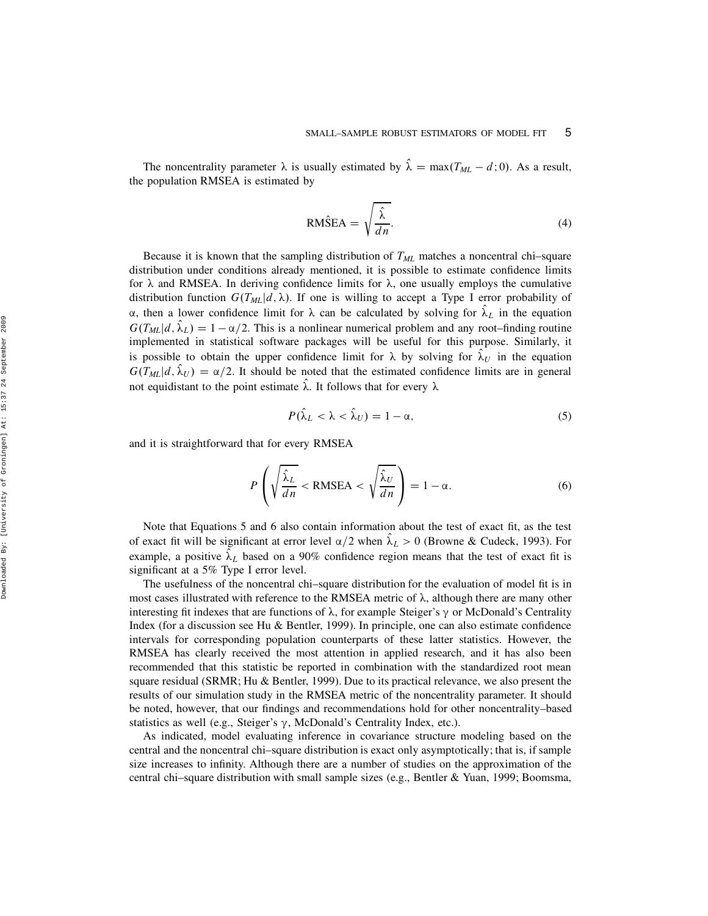The noncentrality parameter  $\lambda$  is usually estimated by  $\lambda = \max(T_{ML} - d; 0)$ . As a result, the population RMSEA is estimated by

$$
RM\hat{S}EA = \sqrt{\frac{\hat{\lambda}}{dn}}.
$$
 (4)

Because it is known that the sampling distribution of  $T_{ML}$  matches a noncentral chi-square distribution under conditions already mentioned, it is possible to estimate confidence limits for  $\lambda$  and RMSEA. In deriving confidence limits for  $\lambda$ , one usually employs the cumulative distribution function  $G(T_{ML}|d, \lambda)$ . If one is willing to accept a Type I error probability of  $\alpha$ , then a lower confidence limit for  $\lambda$  can be calculated by solving for  $\hat{\lambda}_L$  in the equation  $G(T_{ML}|d, \lambda_L) = 1 - \alpha/2$ . This is a nonlinear numerical problem and any root–finding routine implemented in statistical software packages will be useful for this purpose. Similarly, it is possible to obtain the upper confidence limit for  $\lambda$  by solving for  $\lambda_U$  in the equation  $G(T_{ML}|d, \lambda_U) = \alpha/2$ . It should be noted that the estimated confidence limits are in general not equidistant to the point estimate  $\lambda$ . It follows that for every  $\lambda$ 

$$
P(\hat{\lambda}_L < \lambda < \hat{\lambda}_U) = 1 - \alpha,\tag{5}
$$

and it is straightforward that for every RMSEA

$$
P\left(\sqrt{\frac{\hat{\lambda}_L}{dn}} < \text{RMSEA} < \sqrt{\frac{\hat{\lambda}_U}{dn}}\right) = 1 - \alpha. \tag{6}
$$

Note that Equations 5 and 6 also contain information about the test of exact fit, as the test of exact fit will be significant at error level  $\alpha/2$  when  $\lambda_L > 0$  (Browne & Cudeck, 1993). For example, a positive  $\lambda_L$  based on a 90% confidence region means that the test of exact fit is significant at a 5% Type I error level.

The usefulness of the noncentral chi–square distribution for the evaluation of model fit is in most cases illustrated with reference to the RMSEA metric of  $\lambda$ , although there are many other interesting fit indexes that are functions of  $\lambda$ , for example Steiger's  $\gamma$  or McDonald's Centrality Index (for a discussion see Hu & Bentler, 1999). In principle, one can also estimate confidence intervals for corresponding population counterparts of these latter statistics. However, the RMSEA has clearly received the most attention in applied research, and it has also been recommended that this statistic be reported in combination with the standardized root mean square residual (SRMR; Hu & Bentler, 1999). Due to its practical relevance, we also present the results of our simulation study in the RMSEA metric of the noncentrality parameter. It should be noted, however, that our findings and recommendations hold for other noncentrality–based statistics as well (e.g., Steiger's  $\gamma$ , McDonald's Centrality Index, etc.).

As indicated, model evaluating inference in covariance structure modeling based on the central and the noncentral chi–square distribution is exact only asymptotically; that is, if sample size increases to infinity. Although there are a number of studies on the approximation of the central chi–square distribution with small sample sizes (e.g., Bentler & Yuan, 1999; Boomsma,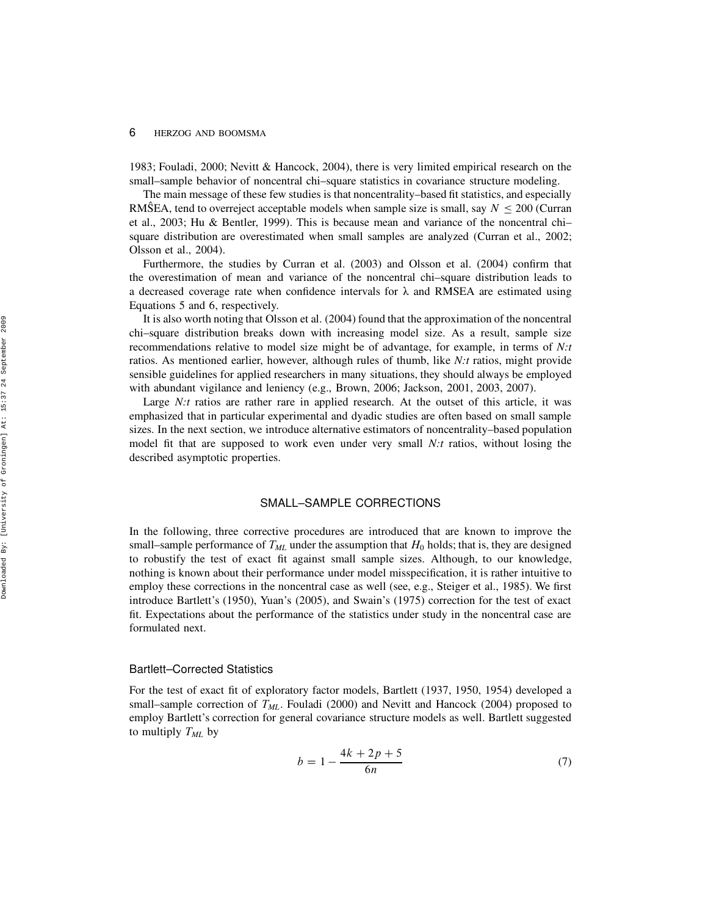1983; Fouladi, 2000; Nevitt & Hancock, 2004), there is very limited empirical research on the small–sample behavior of noncentral chi–square statistics in covariance structure modeling.

The main message of these few studies is that noncentrality–based fit statistics, and especially RMSEA, tend to overreject acceptable models when sample size is small, say  $N \le 200$  (Curran et al., 2003; Hu & Bentler, 1999). This is because mean and variance of the noncentral chi– square distribution are overestimated when small samples are analyzed (Curran et al., 2002; Olsson et al., 2004).

Furthermore, the studies by Curran et al. (2003) and Olsson et al. (2004) confirm that the overestimation of mean and variance of the noncentral chi–square distribution leads to a decreased coverage rate when confidence intervals for  $\lambda$  and RMSEA are estimated using Equations 5 and 6, respectively.

It is also worth noting that Olsson et al. (2004) found that the approximation of the noncentral chi–square distribution breaks down with increasing model size. As a result, sample size recommendations relative to model size might be of advantage, for example, in terms of N:t ratios. As mentioned earlier, however, although rules of thumb, like N:t ratios, might provide sensible guidelines for applied researchers in many situations, they should always be employed with abundant vigilance and leniency (e.g., Brown, 2006; Jackson, 2001, 2003, 2007).

Large  $N$ : t ratios are rather rare in applied research. At the outset of this article, it was emphasized that in particular experimental and dyadic studies are often based on small sample sizes. In the next section, we introduce alternative estimators of noncentrality–based population model fit that are supposed to work even under very small N:t ratios, without losing the described asymptotic properties.

#### SMALL–SAMPLE CORRECTIONS

In the following, three corrective procedures are introduced that are known to improve the small–sample performance of  $T_{ML}$  under the assumption that  $H_0$  holds; that is, they are designed to robustify the test of exact fit against small sample sizes. Although, to our knowledge, nothing is known about their performance under model misspecification, it is rather intuitive to employ these corrections in the noncentral case as well (see, e.g., Steiger et al., 1985). We first introduce Bartlett's (1950), Yuan's (2005), and Swain's (1975) correction for the test of exact fit. Expectations about the performance of the statistics under study in the noncentral case are formulated next.

## Bartlett–Corrected Statistics

For the test of exact fit of exploratory factor models, Bartlett (1937, 1950, 1954) developed a small–sample correction of  $T_{ML}$ . Fouladi (2000) and Nevitt and Hancock (2004) proposed to employ Bartlett's correction for general covariance structure models as well. Bartlett suggested to multiply  $T_{ML}$  by

$$
b = 1 - \frac{4k + 2p + 5}{6n} \tag{7}
$$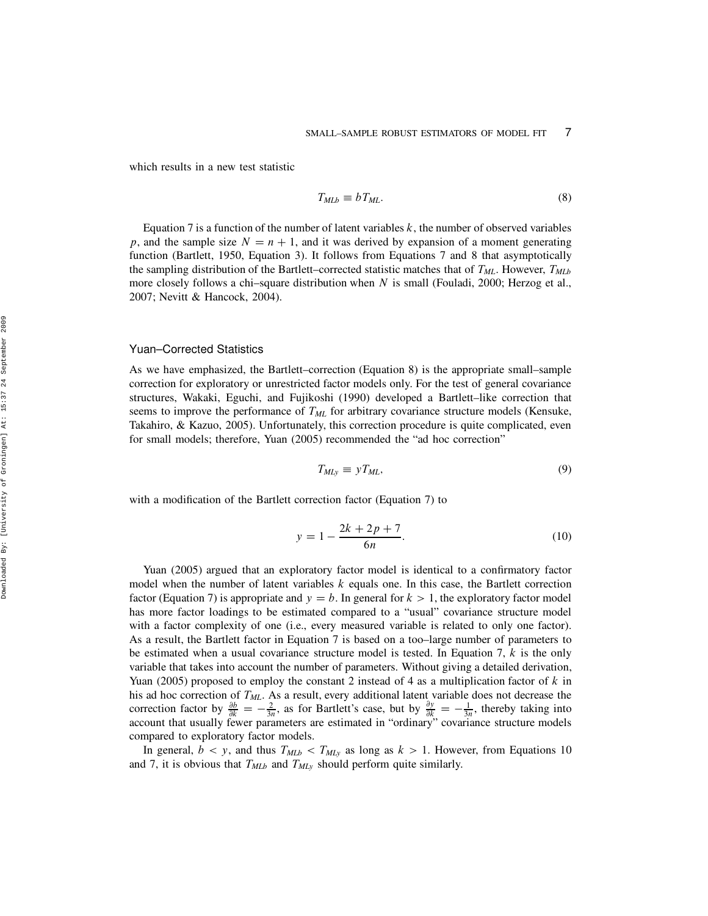which results in a new test statistic

$$
T_{MLb} \equiv bT_{ML}.\tag{8}
$$

Equation 7 is a function of the number of latent variables  $k$ , the number of observed variables p, and the sample size  $N = n + 1$ , and it was derived by expansion of a moment generating function (Bartlett, 1950, Equation 3). It follows from Equations 7 and 8 that asymptotically the sampling distribution of the Bartlett–corrected statistic matches that of  $T_{ML}$ . However,  $T_{MLb}$ more closely follows a chi–square distribution when  $N$  is small (Fouladi, 2000; Herzog et al., 2007; Nevitt & Hancock, 2004).

## Yuan–Corrected Statistics

As we have emphasized, the Bartlett–correction (Equation 8) is the appropriate small–sample correction for exploratory or unrestricted factor models only. For the test of general covariance structures, Wakaki, Eguchi, and Fujikoshi (1990) developed a Bartlett–like correction that seems to improve the performance of  $T_{ML}$  for arbitrary covariance structure models (Kensuke, Takahiro, & Kazuo, 2005). Unfortunately, this correction procedure is quite complicated, even for small models; therefore, Yuan (2005) recommended the "ad hoc correction"

$$
T_{MLy} \equiv yT_{ML},\tag{9}
$$

with a modification of the Bartlett correction factor (Equation 7) to

$$
y = 1 - \frac{2k + 2p + 7}{6n}.\tag{10}
$$

Yuan (2005) argued that an exploratory factor model is identical to a confirmatory factor model when the number of latent variables  $k$  equals one. In this case, the Bartlett correction factor (Equation 7) is appropriate and  $y = b$ . In general for  $k > 1$ , the exploratory factor model has more factor loadings to be estimated compared to a "usual" covariance structure model with a factor complexity of one (i.e., every measured variable is related to only one factor). As a result, the Bartlett factor in Equation 7 is based on a too–large number of parameters to be estimated when a usual covariance structure model is tested. In Equation 7,  $k$  is the only variable that takes into account the number of parameters. Without giving a detailed derivation, Yuan (2005) proposed to employ the constant 2 instead of 4 as a multiplication factor of  $k$  in his ad hoc correction of  $T_{ML}$ . As a result, every additional latent variable does not decrease the correction factor by  $\frac{\partial b}{\partial k} = -\frac{2}{3n}$ , as for Bartlett's case, but by  $\frac{\partial y}{\partial k} = -\frac{1}{3n}$ , thereby taking into account that usually fewer parameters are estimated in "ordinary" covariance structure models compared to exploratory factor models.

In general,  $b < y$ , and thus  $T_{MLb} < T_{MLy}$  as long as  $k > 1$ . However, from Equations 10 and 7, it is obvious that  $T_{MLb}$  and  $T_{MLy}$  should perform quite similarly.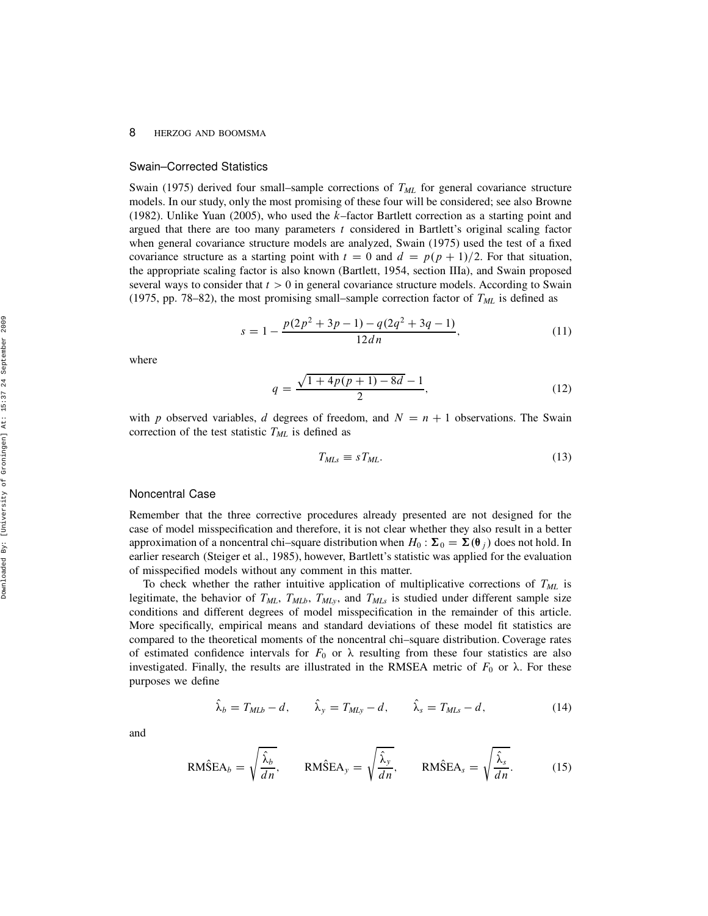#### Swain–Corrected Statistics

Swain (1975) derived four small–sample corrections of  $T_{ML}$  for general covariance structure models. In our study, only the most promising of these four will be considered; see also Browne (1982). Unlike Yuan (2005), who used the  $k$ -factor Bartlett correction as a starting point and argued that there are too many parameters  $t$  considered in Bartlett's original scaling factor when general covariance structure models are analyzed, Swain (1975) used the test of a fixed covariance structure as a starting point with  $t = 0$  and  $d = p(p + 1)/2$ . For that situation, the appropriate scaling factor is also known (Bartlett, 1954, section IIIa), and Swain proposed several ways to consider that  $t > 0$  in general covariance structure models. According to Swain (1975, pp. 78–82), the most promising small–sample correction factor of  $T_{ML}$  is defined as

$$
s = 1 - \frac{p(2p^2 + 3p - 1) - q(2q^2 + 3q - 1)}{12dn},
$$
\n(11)

where

$$
q = \frac{\sqrt{1 + 4p(p+1) - 8d} - 1}{2},
$$
\n(12)

with p observed variables, d degrees of freedom, and  $N = n + 1$  observations. The Swain correction of the test statistic  $T_{ML}$  is defined as

$$
T_{MLs} \equiv sT_{ML}.\tag{13}
$$

#### Noncentral Case

Remember that the three corrective procedures already presented are not designed for the case of model misspecification and therefore, it is not clear whether they also result in a better approximation of a noncentral chi–square distribution when  $H_0$ :  $\Sigma_0 = \Sigma(\theta_j)$  does not hold. In earlier research (Steiger et al., 1985), however, Bartlett's statistic was applied for the evaluation of misspecified models without any comment in this matter.

To check whether the rather intuitive application of multiplicative corrections of  $T_{ML}$  is legitimate, the behavior of  $T_{ML}$ ,  $T_{ML}$ ,  $T_{ML}$ , and  $T_{MLs}$  is studied under different sample size conditions and different degrees of model misspecification in the remainder of this article. More specifically, empirical means and standard deviations of these model fit statistics are compared to the theoretical moments of the noncentral chi–square distribution. Coverage rates of estimated confidence intervals for  $F_0$  or  $\lambda$  resulting from these four statistics are also investigated. Finally, the results are illustrated in the RMSEA metric of  $F_0$  or  $\lambda$ . For these purposes we define

$$
\hat{\lambda}_b = T_{MLb} - d, \qquad \hat{\lambda}_y = T_{MLy} - d, \qquad \hat{\lambda}_s = T_{MLs} - d,
$$
\n(14)

and

$$
RM\hat{S}EA_b = \sqrt{\frac{\hat{\lambda}_b}{dn}}, \quad RM\hat{S}EA_y = \sqrt{\frac{\hat{\lambda}_y}{dn}}, \quad RM\hat{S}EA_s = \sqrt{\frac{\hat{\lambda}_s}{dn}}.
$$
 (15)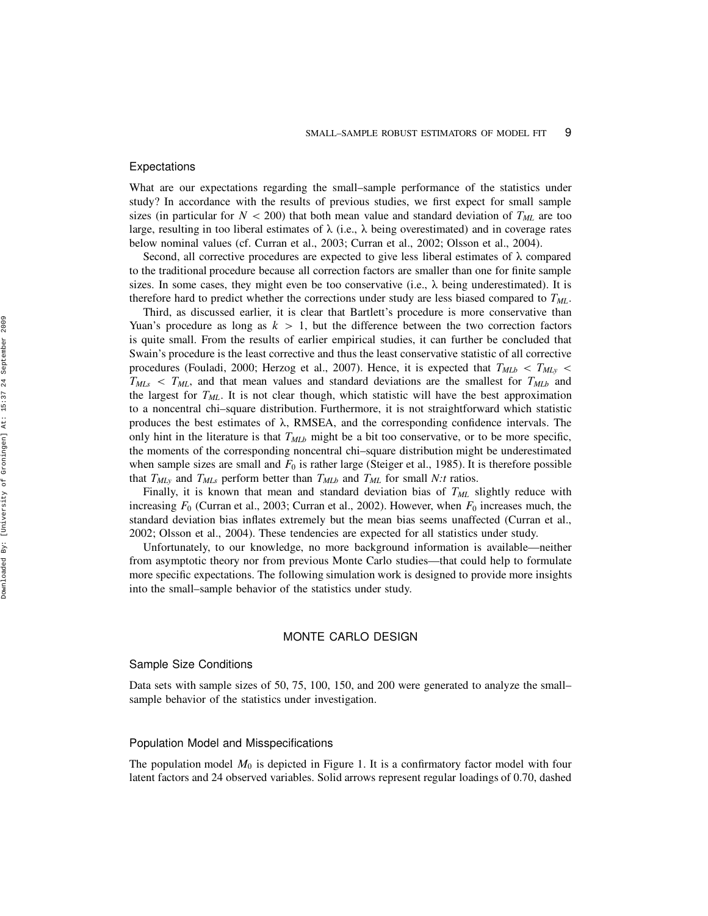#### Expectations

What are our expectations regarding the small–sample performance of the statistics under study? In accordance with the results of previous studies, we first expect for small sample sizes (in particular for  $N < 200$ ) that both mean value and standard deviation of  $T_{ML}$  are too large, resulting in too liberal estimates of  $\lambda$  (i.e.,  $\lambda$  being overestimated) and in coverage rates below nominal values (cf. Curran et al., 2003; Curran et al., 2002; Olsson et al., 2004).

Second, all corrective procedures are expected to give less liberal estimates of  $\lambda$  compared to the traditional procedure because all correction factors are smaller than one for finite sample sizes. In some cases, they might even be too conservative (i.e.,  $\lambda$  being underestimated). It is therefore hard to predict whether the corrections under study are less biased compared to  $T_{ML}$ .

Third, as discussed earlier, it is clear that Bartlett's procedure is more conservative than Yuan's procedure as long as  $k > 1$ , but the difference between the two correction factors is quite small. From the results of earlier empirical studies, it can further be concluded that Swain's procedure is the least corrective and thus the least conservative statistic of all corrective procedures (Fouladi, 2000; Herzog et al., 2007). Hence, it is expected that  $T_{MLb} < T_{MLb}$  $T_{MLs}$  <  $T_{ML}$ , and that mean values and standard deviations are the smallest for  $T_{MLb}$  and the largest for  $T_{ML}$ . It is not clear though, which statistic will have the best approximation to a noncentral chi–square distribution. Furthermore, it is not straightforward which statistic produces the best estimates of  $\lambda$ , RMSEA, and the corresponding confidence intervals. The only hint in the literature is that  $T_{MLb}$  might be a bit too conservative, or to be more specific, the moments of the corresponding noncentral chi–square distribution might be underestimated when sample sizes are small and  $F_0$  is rather large (Steiger et al., 1985). It is therefore possible that  $T_{MLy}$  and  $T_{MLs}$  perform better than  $T_{MLb}$  and  $T_{ML}$  for small N:t ratios.

Finally, it is known that mean and standard deviation bias of  $T_{ML}$  slightly reduce with increasing  $F_0$  (Curran et al., 2003; Curran et al., 2002). However, when  $F_0$  increases much, the standard deviation bias inflates extremely but the mean bias seems unaffected (Curran et al., 2002; Olsson et al., 2004). These tendencies are expected for all statistics under study.

Unfortunately, to our knowledge, no more background information is available—neither from asymptotic theory nor from previous Monte Carlo studies—that could help to formulate more specific expectations. The following simulation work is designed to provide more insights into the small–sample behavior of the statistics under study.

#### MONTE CARLO DESIGN

#### Sample Size Conditions

Data sets with sample sizes of 50, 75, 100, 150, and 200 were generated to analyze the small– sample behavior of the statistics under investigation.

## Population Model and Misspecifications

The population model  $M_0$  is depicted in Figure 1. It is a confirmatory factor model with four latent factors and 24 observed variables. Solid arrows represent regular loadings of 0.70, dashed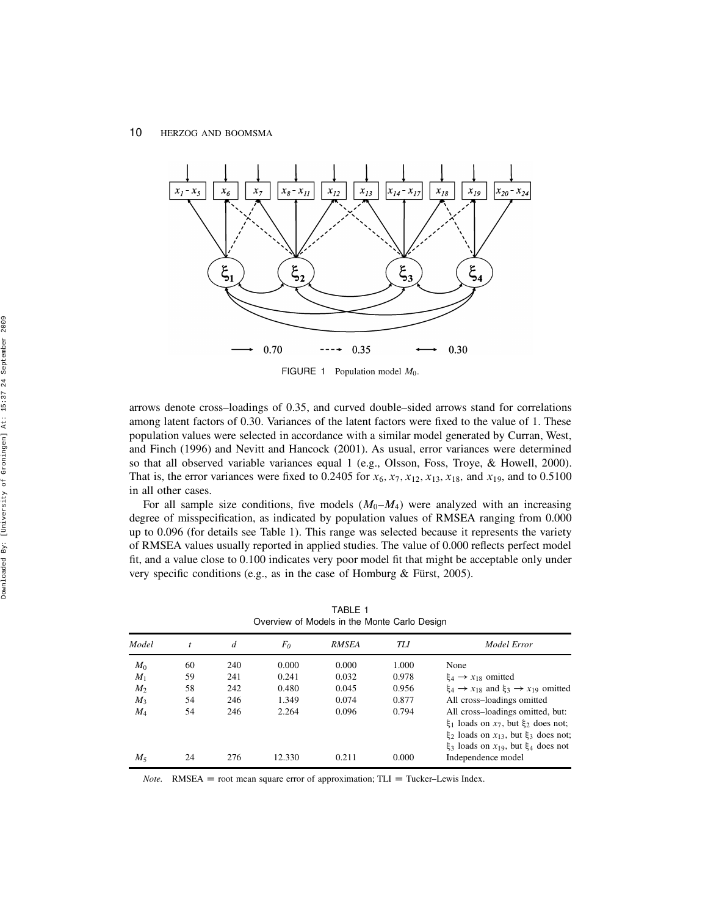

FIGURE 1 Population model  $M_0$ .

arrows denote cross–loadings of 0.35, and curved double–sided arrows stand for correlations among latent factors of 0.30. Variances of the latent factors were fixed to the value of 1. These population values were selected in accordance with a similar model generated by Curran, West, and Finch (1996) and Nevitt and Hancock (2001). As usual, error variances were determined so that all observed variable variances equal 1 (e.g., Olsson, Foss, Troye, & Howell, 2000). That is, the error variances were fixed to 0.2405 for  $x_6$ ,  $x_7$ ,  $x_{12}$ ,  $x_{13}$ ,  $x_{18}$ , and  $x_{19}$ , and to 0.5100 in all other cases.

For all sample size conditions, five models  $(M_0-M_4)$  were analyzed with an increasing degree of misspecification, as indicated by population values of RMSEA ranging from 0.000 up to 0.096 (for details see Table 1). This range was selected because it represents the variety of RMSEA values usually reported in applied studies. The value of 0.000 reflects perfect model fit, and a value close to 0.100 indicates very poor model fit that might be acceptable only under very specific conditions (e.g., as in the case of Homburg & Fürst, 2005).

TABLE 1 Overview of Models in the Monte Carlo Design

| Model          |    | d   | F <sub>0</sub> | RMSEA | TLI   | Model Error                                                                                                                                                                                 |
|----------------|----|-----|----------------|-------|-------|---------------------------------------------------------------------------------------------------------------------------------------------------------------------------------------------|
| $M_0$          | 60 | 240 | 0.000          | 0.000 | 1.000 | None                                                                                                                                                                                        |
| $M_1$          | 59 | 241 | 0.241          | 0.032 | 0.978 | $\xi_4 \rightarrow x_{18}$ omitted                                                                                                                                                          |
| M <sub>2</sub> | 58 | 242 | 0.480          | 0.045 | 0.956 | $\xi_4 \rightarrow x_{18}$ and $\xi_3 \rightarrow x_{19}$ omitted                                                                                                                           |
| $M_3$          | 54 | 246 | 1.349          | 0.074 | 0.877 | All cross-loadings omitted                                                                                                                                                                  |
| $M_4$          | 54 | 246 | 2.264          | 0.096 | 0.794 | All cross-loadings omitted, but:<br>$\xi_1$ loads on $x_7$ , but $\xi_2$ does not;<br>$\xi_2$ loads on $x_{13}$ , but $\xi_3$ does not;<br>$\xi_3$ loads on $x_{19}$ , but $\xi_4$ does not |
| $M_5$          | 24 | 276 | 12.330         | 0.211 | 0.000 | Independence model                                                                                                                                                                          |
|                |    |     |                |       |       |                                                                                                                                                                                             |

*Note.* RMSEA = root mean square error of approximation; TLI = Tucker–Lewis Index.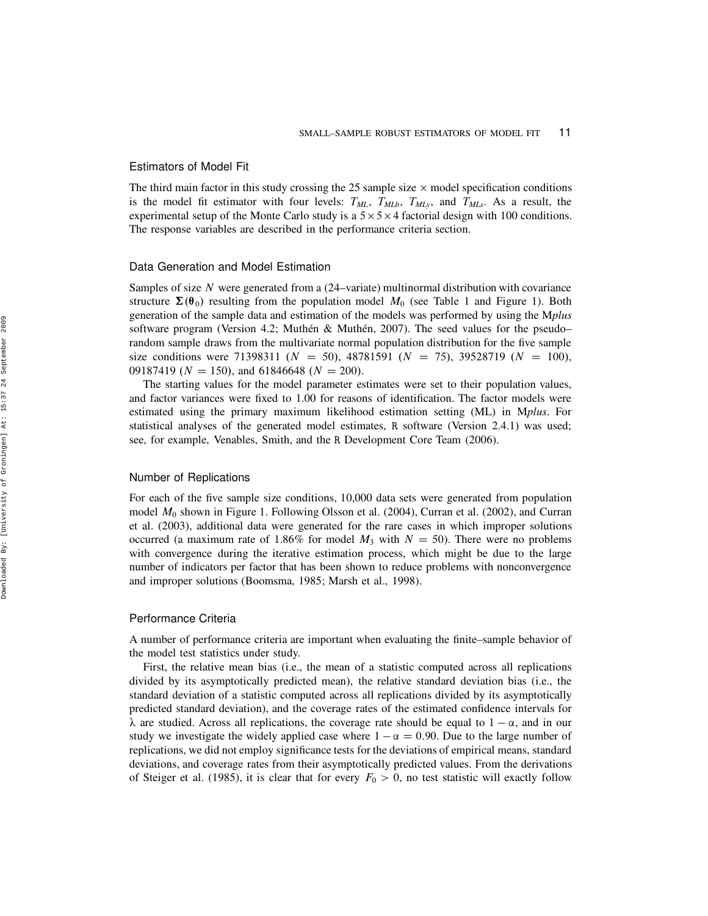#### Estimators of Model Fit

The third main factor in this study crossing the  $25$  sample size  $\times$  model specification conditions is the model fit estimator with four levels:  $T_{ML}$ ,  $T_{MLb}$ ,  $T_{MLy}$ , and  $T_{MLs}$ . As a result, the experimental setup of the Monte Carlo study is a  $5 \times 5 \times 4$  factorial design with 100 conditions. The response variables are described in the performance criteria section.

## Data Generation and Model Estimation

Samples of size  $N$  were generated from a  $(24$ -variate) multinormal distribution with covariance structure  $\Sigma(\theta_0)$  resulting from the population model  $M_0$  (see Table 1 and Figure 1). Both generation of the sample data and estimation of the models was performed by using the Mplus software program (Version 4.2; Muthén & Muthén, 2007). The seed values for the pseudo– random sample draws from the multivariate normal population distribution for the five sample size conditions were 71398311  $(N = 50)$ , 48781591  $(N = 75)$ , 39528719  $(N = 100)$ , 09187419 ( $N = 150$ ), and 61846648 ( $N = 200$ ).

The starting values for the model parameter estimates were set to their population values, and factor variances were fixed to 1.00 for reasons of identification. The factor models were estimated using the primary maximum likelihood estimation setting (ML) in Mplus. For statistical analyses of the generated model estimates, R software (Version 2.4.1) was used; see, for example, Venables, Smith, and the R Development Core Team (2006).

## Number of Replications

For each of the five sample size conditions, 10,000 data sets were generated from population model  $M_0$  shown in Figure 1. Following Olsson et al. (2004), Curran et al. (2002), and Curran et al. (2003), additional data were generated for the rare cases in which improper solutions occurred (a maximum rate of 1.86% for model  $M_3$  with  $N = 50$ ). There were no problems with convergence during the iterative estimation process, which might be due to the large number of indicators per factor that has been shown to reduce problems with nonconvergence and improper solutions (Boomsma, 1985; Marsh et al., 1998).

#### Performance Criteria

A number of performance criteria are important when evaluating the finite–sample behavior of the model test statistics under study.

First, the relative mean bias (i.e., the mean of a statistic computed across all replications divided by its asymptotically predicted mean), the relative standard deviation bias (i.e., the standard deviation of a statistic computed across all replications divided by its asymptotically predicted standard deviation), and the coverage rates of the estimated confidence intervals for  $\lambda$  are studied. Across all replications, the coverage rate should be equal to  $1 - \alpha$ , and in our study we investigate the widely applied case where  $1 - \alpha = 0.90$ . Due to the large number of replications, we did not employ significance tests for the deviations of empirical means, standard deviations, and coverage rates from their asymptotically predicted values. From the derivations of Steiger et al. (1985), it is clear that for every  $F_0 > 0$ , no test statistic will exactly follow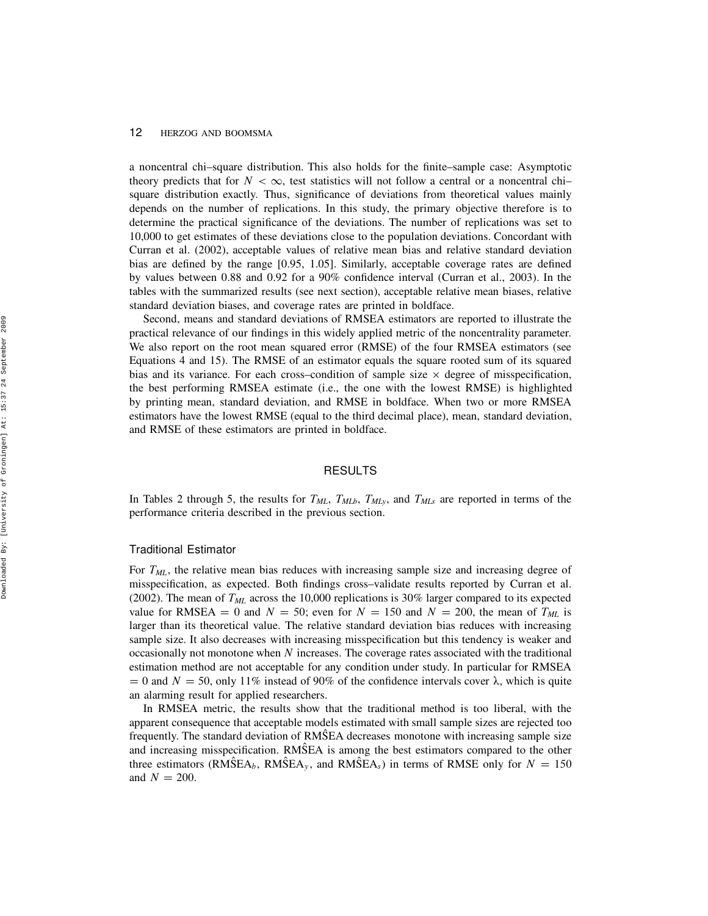a noncentral chi–square distribution. This also holds for the finite–sample case: Asymptotic theory predicts that for  $N < \infty$ , test statistics will not follow a central or a noncentral chisquare distribution exactly. Thus, significance of deviations from theoretical values mainly depends on the number of replications. In this study, the primary objective therefore is to determine the practical significance of the deviations. The number of replications was set to 10,000 to get estimates of these deviations close to the population deviations. Concordant with Curran et al. (2002), acceptable values of relative mean bias and relative standard deviation bias are defined by the range [0.95, 1.05]. Similarly, acceptable coverage rates are defined by values between 0.88 and 0.92 for a 90% confidence interval (Curran et al., 2003). In the tables with the summarized results (see next section), acceptable relative mean biases, relative standard deviation biases, and coverage rates are printed in boldface.

Second, means and standard deviations of RMSEA estimators are reported to illustrate the practical relevance of our findings in this widely applied metric of the noncentrality parameter. We also report on the root mean squared error (RMSE) of the four RMSEA estimators (see Equations 4 and 15). The RMSE of an estimator equals the square rooted sum of its squared bias and its variance. For each cross–condition of sample size  $\times$  degree of misspecification, the best performing RMSEA estimate (i.e., the one with the lowest RMSE) is highlighted by printing mean, standard deviation, and RMSE in boldface. When two or more RMSEA estimators have the lowest RMSE (equal to the third decimal place), mean, standard deviation, and RMSE of these estimators are printed in boldface.

## RESULTS

In Tables 2 through 5, the results for  $T_{ML}$ ,  $T_{MLb}$ ,  $T_{MLy}$ , and  $T_{MLs}$  are reported in terms of the performance criteria described in the previous section.

#### Traditional Estimator

For  $T_{ML}$ , the relative mean bias reduces with increasing sample size and increasing degree of misspecification, as expected. Both findings cross–validate results reported by Curran et al. (2002). The mean of  $T_{ML}$  across the 10,000 replications is 30% larger compared to its expected value for RMSEA = 0 and  $N = 50$ ; even for  $N = 150$  and  $N = 200$ , the mean of  $T_{ML}$  is larger than its theoretical value. The relative standard deviation bias reduces with increasing sample size. It also decreases with increasing misspecification but this tendency is weaker and occasionally not monotone when  $N$  increases. The coverage rates associated with the traditional estimation method are not acceptable for any condition under study. In particular for RMSEA  $= 0$  and  $N = 50$ , only 11% instead of 90% of the confidence intervals cover  $\lambda$ , which is quite an alarming result for applied researchers.

In RMSEA metric, the results show that the traditional method is too liberal, with the apparent consequence that acceptable models estimated with small sample sizes are rejected too frequently. The standard deviation of RMSEA decreases monotone with increasing sample size and increasing misspecification. RMSEA is among the best estimators compared to the other three estimators (RMSEA<sub>b</sub>, RMSEA<sub>y</sub>, and RMSEA<sub>s</sub>) in terms of RMSE only for  $N = 150$ and  $N = 200$ .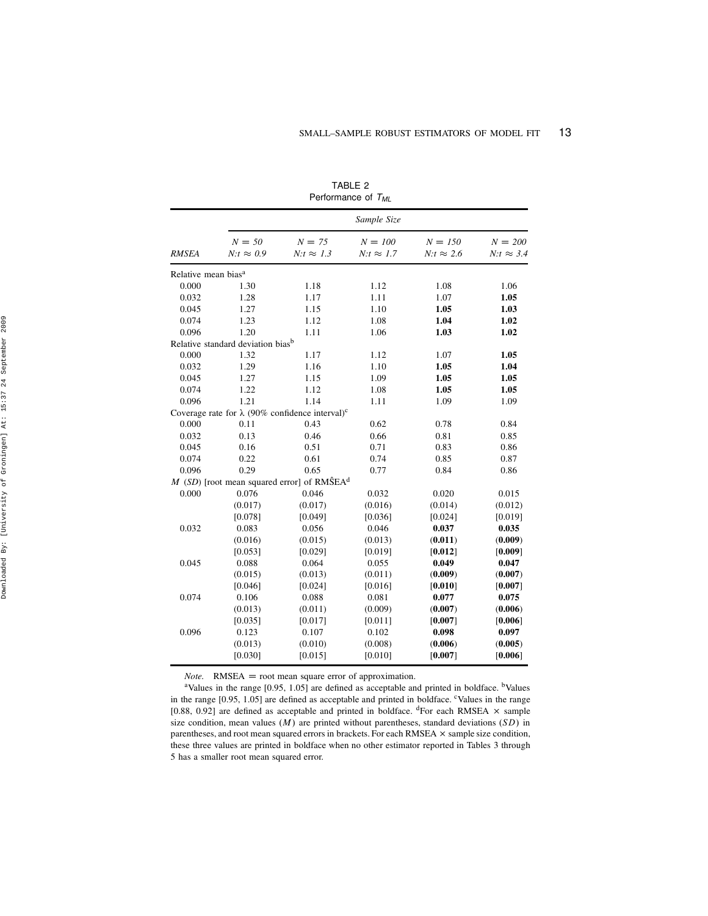|                                 | Sample Size                                   |                                                                    |                                |                                |                                |  |  |
|---------------------------------|-----------------------------------------------|--------------------------------------------------------------------|--------------------------------|--------------------------------|--------------------------------|--|--|
| <b>RMSEA</b>                    | $N = 50$<br>$N:t \approx 0.9$                 | $N = 75$<br>$N:t \approx 1.3$                                      | $N = 100$<br>$N:t \approx 1.7$ | $N = 150$<br>$N:t \approx 2.6$ | $N = 200$<br>$N:t \approx 3.4$ |  |  |
| Relative mean bias <sup>a</sup> |                                               |                                                                    |                                |                                |                                |  |  |
| 0.000                           | 1.30                                          | 1.18                                                               | 1.12                           | 1.08                           | 1.06                           |  |  |
| 0.032                           | 1.28                                          | 1.17                                                               | 1.11                           | 1.07                           | 1.05                           |  |  |
| 0.045                           | 1.27                                          | 1.15                                                               | 1.10                           | 1.05                           | 1.03                           |  |  |
| 0.074                           | 1.23                                          | 1.12                                                               | 1.08                           | 1.04                           | 1.02                           |  |  |
| 0.096                           | 1.20                                          | 1.11                                                               | 1.06                           | 1.03                           | 1.02                           |  |  |
|                                 | Relative standard deviation bias <sup>b</sup> |                                                                    |                                |                                |                                |  |  |
| 0.000                           | 1.32                                          | 1.17                                                               | 1.12                           | 1.07                           | 1.05                           |  |  |
| 0.032                           | 1.29                                          | 1.16                                                               | 1.10                           | 1.05                           | 1.04                           |  |  |
| 0.045                           | 1.27                                          | 1.15                                                               | 1.09                           | 1.05                           | 1.05                           |  |  |
| 0.074                           | 1.22                                          | 1.12                                                               | 1.08                           | 1.05                           | 1.05                           |  |  |
| 0.096                           | 1.21                                          | 1.14                                                               | 1.11                           | 1.09                           | 1.09                           |  |  |
|                                 |                                               | Coverage rate for $\lambda$ (90% confidence interval) <sup>c</sup> |                                |                                |                                |  |  |
| 0.000                           | 0.11                                          | 0.43                                                               | 0.62                           | 0.78                           | 0.84                           |  |  |
| 0.032                           | 0.13                                          | 0.46                                                               | 0.66                           | 0.81                           | 0.85                           |  |  |
| 0.045                           | 0.16                                          | 0.51                                                               | 0.71                           | 0.83                           | 0.86                           |  |  |
| 0.074                           | 0.22                                          | 0.61                                                               | 0.74                           | 0.85                           | 0.87                           |  |  |
| 0.096                           | 0.29                                          | 0.65                                                               | 0.77                           | 0.84                           | 0.86                           |  |  |
|                                 |                                               | $M$ (SD) [root mean squared error] of RM $$E Ad$                   |                                |                                |                                |  |  |
| 0.000                           | 0.076                                         | 0.046                                                              | 0.032                          | 0.020                          | 0.015                          |  |  |
|                                 | (0.017)                                       | (0.017)                                                            | (0.016)                        | (0.014)                        | (0.012)                        |  |  |
|                                 | [0.078]                                       | [0.049]                                                            | [0.036]                        | [0.024]                        | [0.019]                        |  |  |
| 0.032                           | 0.083                                         | 0.056                                                              | 0.046                          | 0.037                          | 0.035                          |  |  |
|                                 | (0.016)                                       | (0.015)                                                            | (0.013)                        | (0.011)                        | (0.009)                        |  |  |
|                                 | [0.053]                                       | [0.029]                                                            | [0.019]                        | [0.012]                        | [0.009]                        |  |  |
| 0.045                           | 0.088                                         | 0.064                                                              | 0.055                          | 0.049                          | 0.047                          |  |  |
|                                 | (0.015)                                       | (0.013)                                                            | (0.011)                        | (0.009)                        | (0.007)                        |  |  |
|                                 | [0.046]                                       | [0.024]                                                            | [0.016]                        | [0.010]                        | [0.007]                        |  |  |
| 0.074                           | 0.106                                         | 0.088                                                              | 0.081                          | 0.077                          | 0.075                          |  |  |
|                                 | (0.013)                                       | (0.011)                                                            | (0.009)                        | (0.007)                        | (0.006)                        |  |  |
|                                 | [0.035]                                       | [0.017]                                                            | [0.011]                        | [0.007]                        | [0.006]                        |  |  |
| 0.096                           | 0.123                                         | 0.107                                                              | 0.102                          | 0.098                          | 0.097                          |  |  |
|                                 | (0.013)                                       | (0.010)                                                            | (0.008)                        | (0.006)                        | (0.005)                        |  |  |
|                                 | [0.030]                                       | [0.015]                                                            | [0.010]                        | [0.007]                        | [0.006]                        |  |  |

TABLE 2 Performance of  $T_{ML}$ 

*Note.* RMSEA = root mean square error of approximation.

<sup>a</sup>Values in the range [0.95, 1.05] are defined as acceptable and printed in boldface. <sup>b</sup>Values in the range [0.95, 1.05] are defined as acceptable and printed in boldface. <sup>c</sup>Values in the range [0.88, 0.92] are defined as acceptable and printed in boldface. <sup>d</sup>For each RMSEA  $\times$  sample size condition, mean values  $(M)$  are printed without parentheses, standard deviations  $(SD)$  in parentheses, and root mean squared errors in brackets. For each RMSEA  $\times$  sample size condition, these three values are printed in boldface when no other estimator reported in Tables 3 through 5 has a smaller root mean squared error.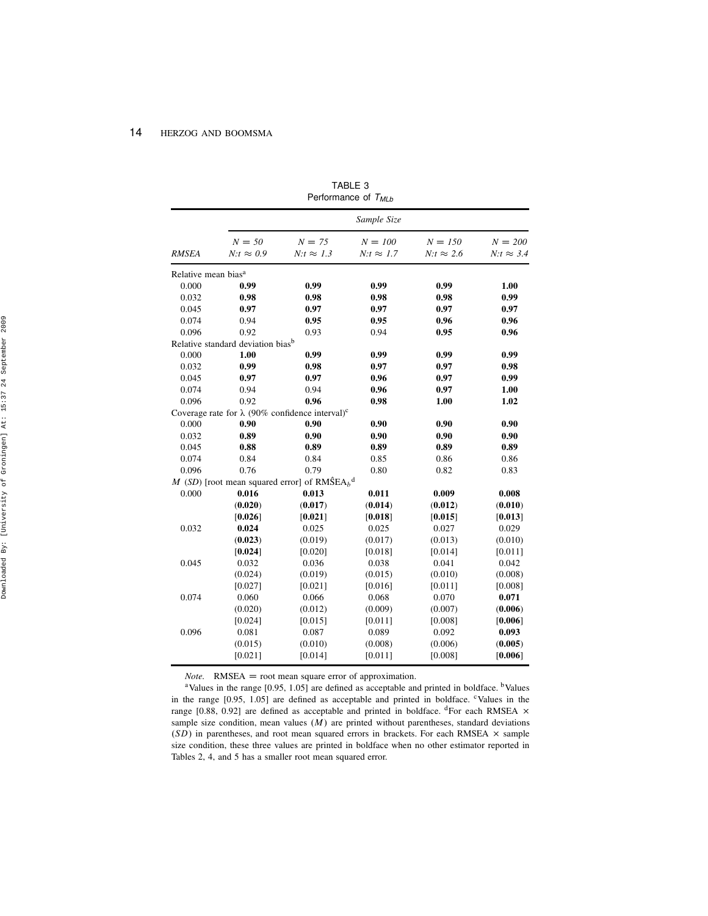|                                 |                                                                    |                   | Sample Size       |                   |                   |  |  |  |
|---------------------------------|--------------------------------------------------------------------|-------------------|-------------------|-------------------|-------------------|--|--|--|
|                                 | $N = 50$                                                           | $N = 75$          | $N = 100$         | $N = 150$         | $N = 200$         |  |  |  |
| <b>RMSEA</b>                    | $N:t \approx 0.9$                                                  | $N:t \approx 1.3$ | $N:t \approx 1.7$ | $N:t \approx 2.6$ | $N:t \approx 3.4$ |  |  |  |
| Relative mean bias <sup>a</sup> |                                                                    |                   |                   |                   |                   |  |  |  |
| 0.000                           | 0.99                                                               | 0.99              | 0.99              | 0.99              | 1.00              |  |  |  |
| 0.032                           | 0.98                                                               | 0.98              | 0.98              | 0.98              | 0.99              |  |  |  |
| 0.045                           | 0.97                                                               | 0.97              | 0.97              | 0.97              | 0.97              |  |  |  |
| 0.074                           | 0.94                                                               | 0.95              | 0.95              | 0.96              | 0.96              |  |  |  |
| 0.096                           | 0.92                                                               | 0.93              | 0.94              | 0.95              | 0.96              |  |  |  |
|                                 | Relative standard deviation bias <sup>b</sup>                      |                   |                   |                   |                   |  |  |  |
| 0.000                           | 1.00                                                               | 0.99              | 0.99              | 0.99              | 0.99              |  |  |  |
| 0.032                           | 0.99                                                               | 0.98              | 0.97              | 0.97              | 0.98              |  |  |  |
| 0.045                           | 0.97                                                               | 0.97              | 0.96              | 0.97              | 0.99              |  |  |  |
| 0.074                           | 0.94                                                               | 0.94              | 0.96              | 0.97              | 1.00              |  |  |  |
| 0.096                           | 0.92                                                               | 0.96              | 0.98              | 1.00              | 1.02              |  |  |  |
|                                 | Coverage rate for $\lambda$ (90% confidence interval) <sup>c</sup> |                   |                   |                   |                   |  |  |  |
| 0.000                           | 0.90                                                               | 0.90              | 0.90              | 0.90              | 0.90              |  |  |  |
| 0.032                           | 0.89                                                               | 0.90              | 0.90              | 0.90              | 0.90              |  |  |  |
| 0.045                           | 0.88                                                               | 0.89              | 0.89              | 0.89              | 0.89              |  |  |  |
| 0.074                           | 0.84                                                               | 0.84              | 0.85              | 0.86              | 0.86              |  |  |  |
| 0.096                           | 0.76                                                               | 0.79              | 0.80              | 0.82              | 0.83              |  |  |  |
|                                 | M (SD) [root mean squared error] of $RM\hat{S}EA_b^d$              |                   |                   |                   |                   |  |  |  |
| 0.000                           | 0.016                                                              | 0.013             | 0.011             | 0.009             | 0.008             |  |  |  |
|                                 | (0.020)                                                            | (0.017)           | (0.014)           | (0.012)           | (0.010)           |  |  |  |
|                                 | [0.026]                                                            | [0.021]           | [0.018]           | [0.015]           | [0.013]           |  |  |  |
| 0.032                           | 0.024                                                              | 0.025             | 0.025             | 0.027             | 0.029             |  |  |  |
|                                 | (0.023)                                                            | (0.019)           | (0.017)           | (0.013)           | (0.010)           |  |  |  |
|                                 | [0.024]                                                            | [0.020]           | [0.018]           | [0.014]           | [0.011]           |  |  |  |
| 0.045                           | 0.032                                                              | 0.036             | 0.038             | 0.041             | 0.042             |  |  |  |
|                                 | (0.024)                                                            | (0.019)           | (0.015)           | (0.010)           | (0.008)           |  |  |  |
|                                 | [0.027]                                                            | [0.021]           | [0.016]           | [0.011]           | [0.008]           |  |  |  |
| 0.074                           | 0.060                                                              | 0.066             | 0.068             | 0.070             | 0.071             |  |  |  |
|                                 | (0.020)                                                            | (0.012)           | (0.009)           | (0.007)           | (0.006)           |  |  |  |
|                                 | [0.024]                                                            | [0.015]           | [0.011]           | [0.008]           | [0.006]           |  |  |  |
| 0.096                           | 0.081                                                              | 0.087             | 0.089             | 0.092             | 0.093             |  |  |  |
|                                 | (0.015)                                                            | (0.010)           | (0.008)           | (0.006)           | (0.005)           |  |  |  |
|                                 | [0.021]                                                            | [0.014]           | [0.011]           | [0.008]           | [0.006]           |  |  |  |

TABLE 3 Performance of  $T_{MLb}$ 

*Note.* RMSEA = root mean square error of approximation.

<sup>a</sup>Values in the range [0.95, 1.05] are defined as acceptable and printed in boldface. <sup>b</sup>Values in the range [0.95, 1.05] are defined as acceptable and printed in boldface. <sup>c</sup>Values in the range [0.88, 0.92] are defined as acceptable and printed in boldface.  ${}^{d}$ For each RMSEA  $\times$ sample size condition, mean values  $(M)$  are printed without parentheses, standard deviations  $(SD)$  in parentheses, and root mean squared errors in brackets. For each RMSEA  $\times$  sample size condition, these three values are printed in boldface when no other estimator reported in Tables 2, 4, and 5 has a smaller root mean squared error.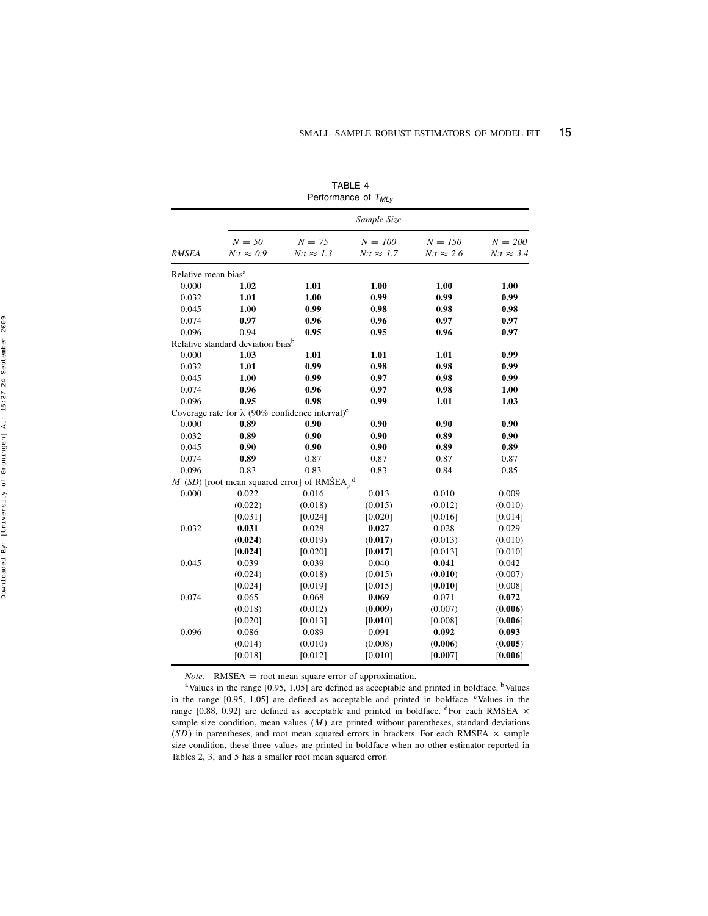|                                 | Sample Size                                   |                                                                     |                                |                                |                                |  |  |
|---------------------------------|-----------------------------------------------|---------------------------------------------------------------------|--------------------------------|--------------------------------|--------------------------------|--|--|
| <b>RMSEA</b>                    | $N = 50$<br>$N:t \approx 0.9$                 | $N = 75$<br>$N:t \approx 1.3$                                       | $N = 100$<br>$N:t \approx 1.7$ | $N = 150$<br>$N:t \approx 2.6$ | $N = 200$<br>$N:t \approx 3.4$ |  |  |
| Relative mean bias <sup>a</sup> |                                               |                                                                     |                                |                                |                                |  |  |
| 0.000                           | 1.02                                          | 1.01                                                                | 1.00                           | 1.00                           | 1.00                           |  |  |
| 0.032                           | 1.01                                          | 1.00                                                                | 0.99                           | 0.99                           | 0.99                           |  |  |
| 0.045                           | 1.00                                          | 0.99                                                                | 0.98                           | 0.98                           | 0.98                           |  |  |
| 0.074                           | 0.97                                          | 0.96                                                                | 0.96                           | 0.97                           | 0.97                           |  |  |
| 0.096                           | 0.94                                          | 0.95                                                                | 0.95                           | 0.96                           | 0.97                           |  |  |
|                                 | Relative standard deviation bias <sup>b</sup> |                                                                     |                                |                                |                                |  |  |
| 0.000                           | 1.03                                          | 1.01                                                                | 1.01                           | 1.01                           | 0.99                           |  |  |
| 0.032                           | 1.01                                          | 0.99                                                                | 0.98                           | 0.98                           | 0.99                           |  |  |
| 0.045                           | 1.00                                          | 0.99                                                                | 0.97                           | 0.98                           | 0.99                           |  |  |
| 0.074                           | 0.96                                          | 0.96                                                                | 0.97                           | 0.98                           | 1.00                           |  |  |
| 0.096                           | 0.95                                          | 0.98                                                                | 0.99                           | 1.01                           | 1.03                           |  |  |
|                                 |                                               | Coverage rate for $\lambda$ (90% confidence interval) <sup>c</sup>  |                                |                                |                                |  |  |
| 0.000                           | 0.89                                          | 0.90                                                                | 0.90                           | 0.90                           | 0.90                           |  |  |
| 0.032                           | 0.89                                          | 0.90                                                                | 0.90                           | 0.89                           | 0.90                           |  |  |
| 0.045                           | 0.90                                          | 0.90                                                                | 0.90                           | 0.89                           | 0.89                           |  |  |
| 0.074                           | 0.89                                          | 0.87                                                                | 0.87                           | 0.87                           | 0.87                           |  |  |
| 0.096                           | 0.83                                          | 0.83                                                                | 0.83                           | 0.84                           | 0.85                           |  |  |
|                                 |                                               | M (SD) [root mean squared error] of RMSEA <sub>v</sub> <sup>d</sup> |                                |                                |                                |  |  |
| 0.000                           | 0.022                                         | 0.016                                                               | 0.013                          | 0.010                          | 0.009                          |  |  |
|                                 | (0.022)                                       | (0.018)                                                             | (0.015)                        | (0.012)                        | (0.010)                        |  |  |
|                                 | [0.031]                                       | [0.024]                                                             | [0.020]                        | [0.016]                        | [0.014]                        |  |  |
| 0.032                           | 0.031                                         | 0.028                                                               | 0.027                          | 0.028                          | 0.029                          |  |  |
|                                 | (0.024)                                       | (0.019)                                                             | (0.017)                        | (0.013)                        | (0.010)                        |  |  |
|                                 | [0.024]                                       | [0.020]                                                             | [0.017]                        | [0.013]                        | [0.010]                        |  |  |
| 0.045                           | 0.039                                         | 0.039                                                               | 0.040                          | 0.041                          | 0.042                          |  |  |
|                                 | (0.024)                                       | (0.018)                                                             | (0.015)                        | (0.010)                        | (0.007)                        |  |  |
|                                 | [0.024]                                       | [0.019]                                                             | [0.015]                        | [0.010]                        | [0.008]                        |  |  |
| 0.074                           | 0.065                                         | 0.068                                                               | 0.069                          | 0.071                          | 0.072                          |  |  |
|                                 | (0.018)                                       | (0.012)                                                             | (0.009)                        | (0.007)                        | (0.006)                        |  |  |
|                                 | [0.020]                                       | [0.013]                                                             | [0.010]                        | [0.008]                        | [0.006]                        |  |  |
| 0.096                           | 0.086                                         | 0.089                                                               | 0.091                          | 0.092                          | 0.093                          |  |  |
|                                 | (0.014)                                       | (0.010)                                                             | (0.008)                        | (0.006)                        | (0.005)                        |  |  |
|                                 | [0.018]                                       | [0.012]                                                             | [0.010]                        | [0.007]                        | [0.006]                        |  |  |

TABLE 4 Performance of  $T_{MLy}$ 

*Note.* RMSEA = root mean square error of approximation.

<sup>a</sup>Values in the range [0.95, 1.05] are defined as acceptable and printed in boldface. <sup>b</sup>Values in the range [0.95, 1.05] are defined as acceptable and printed in boldface. <sup>c</sup>Values in the range [0.88, 0.92] are defined as acceptable and printed in boldface.  ${}^{d}$ For each RMSEA  $\times$ sample size condition, mean values  $(M)$  are printed without parentheses, standard deviations  $(SD)$  in parentheses, and root mean squared errors in brackets. For each RMSEA  $\times$  sample size condition, these three values are printed in boldface when no other estimator reported in Tables 2, 3, and 5 has a smaller root mean squared error.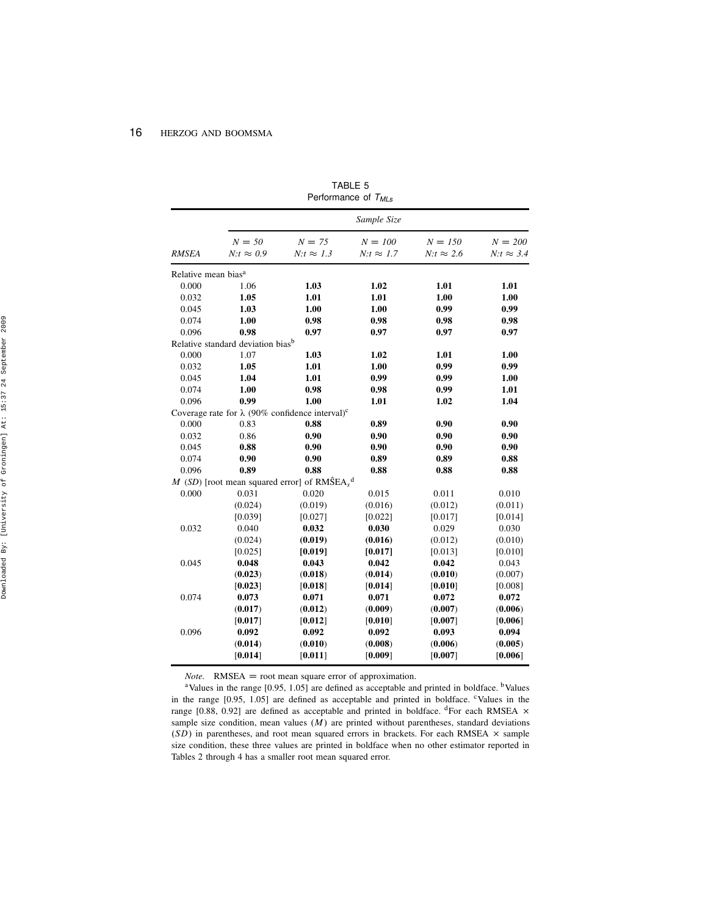|                                 | Sample Size                                   |                                                                    |                                |                                |                                |  |  |
|---------------------------------|-----------------------------------------------|--------------------------------------------------------------------|--------------------------------|--------------------------------|--------------------------------|--|--|
| <b>RMSEA</b>                    | $N = 50$<br>$N:t \approx 0.9$                 | $N = 75$<br>$N:t \approx 1.3$                                      | $N = 100$<br>$N:t \approx 1.7$ | $N = 150$<br>$N:t \approx 2.6$ | $N = 200$<br>$N:t \approx 3.4$ |  |  |
| Relative mean bias <sup>a</sup> |                                               |                                                                    |                                |                                |                                |  |  |
| 0.000                           | 1.06                                          | 1.03                                                               | 1.02                           | 1.01                           | 1.01                           |  |  |
| 0.032                           | 1.05                                          | 1.01                                                               | 1.01                           | 1.00                           | 1.00                           |  |  |
| 0.045                           | 1.03                                          | 1.00                                                               | 1.00                           | 0.99                           | 0.99                           |  |  |
| 0.074                           | 1.00                                          | 0.98                                                               | 0.98                           | 0.98                           | 0.98                           |  |  |
| 0.096                           | 0.98                                          | 0.97                                                               | 0.97                           | 0.97                           | 0.97                           |  |  |
|                                 | Relative standard deviation bias <sup>b</sup> |                                                                    |                                |                                |                                |  |  |
| 0.000                           | 1.07                                          | 1.03                                                               | 1.02                           | 1.01                           | 1.00                           |  |  |
| 0.032                           | 1.05                                          | 1.01                                                               | 1.00                           | 0.99                           | 0.99                           |  |  |
| 0.045                           | 1.04                                          | 1.01                                                               | 0.99                           | 0.99                           | 1.00                           |  |  |
| 0.074                           | 1.00                                          | 0.98                                                               | 0.98                           | 0.99                           | 1.01                           |  |  |
| 0.096                           | 0.99                                          | 1.00                                                               | 1.01                           | 1.02                           | 1.04                           |  |  |
|                                 |                                               | Coverage rate for $\lambda$ (90% confidence interval) <sup>c</sup> |                                |                                |                                |  |  |
| 0.000                           | 0.83                                          | 0.88                                                               | 0.89                           | 0.90                           | 0.90                           |  |  |
| 0.032                           | 0.86                                          | 0.90                                                               | 0.90                           | 0.90                           | 0.90                           |  |  |
| 0.045                           | 0.88                                          | 0.90                                                               | 0.90                           | 0.90                           | 0.90                           |  |  |
| 0.074                           | 0.90                                          | 0.90                                                               | 0.89                           | 0.89                           | 0.88                           |  |  |
| 0.096                           | 0.89                                          | 0.88                                                               | 0.88                           | 0.88                           | 0.88                           |  |  |
|                                 |                                               | M (SD) [root mean squared error] of $RM\hat{S}EA_s^d$              |                                |                                |                                |  |  |
| 0.000                           | 0.031                                         | 0.020                                                              | 0.015                          | 0.011                          | 0.010                          |  |  |
|                                 | (0.024)                                       | (0.019)                                                            | (0.016)                        | (0.012)                        | (0.011)                        |  |  |
|                                 | [0.039]                                       | [0.027]                                                            | [0.022]                        | [0.017]                        | [0.014]                        |  |  |
| 0.032                           | 0.040                                         | 0.032                                                              | 0.030                          | 0.029                          | 0.030                          |  |  |
|                                 | (0.024)                                       | (0.019)                                                            | (0.016)                        | (0.012)                        | (0.010)                        |  |  |
|                                 | [0.025]                                       | [0.019]                                                            | [0.017]                        | [0.013]                        | [0.010]                        |  |  |
| 0.045                           | 0.048                                         | 0.043                                                              | 0.042                          | 0.042                          | 0.043                          |  |  |
|                                 | (0.023)                                       | (0.018)                                                            | (0.014)                        | (0.010)                        | (0.007)                        |  |  |
|                                 | [0.023]                                       | [0.018]                                                            | [0.014]                        | [0.010]                        | [0.008]                        |  |  |
| 0.074                           | 0.073                                         | 0.071                                                              | 0.071                          | 0.072                          | 0.072                          |  |  |
|                                 | (0.017)                                       | (0.012)                                                            | (0.009)                        | (0.007)                        | (0.006)                        |  |  |
|                                 | [0.017]                                       | [0.012]                                                            | $[0.010]$                      | [0.007]                        | [0.006]                        |  |  |
| 0.096                           | 0.092                                         | 0.092                                                              | 0.092                          | 0.093                          | 0.094                          |  |  |
|                                 | (0.014)                                       | (0.010)                                                            | (0.008)                        | (0.006)                        | (0.005)                        |  |  |
|                                 | [0.014]                                       | [0.011]                                                            | [0.009]                        | [0.007]                        | [0.006]                        |  |  |

TABLE 5 Performance of  $T_{MLs}$ 

*Note.* RMSEA = root mean square error of approximation.

<sup>a</sup>Values in the range [0.95, 1.05] are defined as acceptable and printed in boldface. <sup>b</sup>Values in the range [0.95, 1.05] are defined as acceptable and printed in boldface. <sup>c</sup>Values in the range [0.88, 0.92] are defined as acceptable and printed in boldface.  ${}^{d}$ For each RMSEA  $\times$ sample size condition, mean values  $(M)$  are printed without parentheses, standard deviations  $(SD)$  in parentheses, and root mean squared errors in brackets. For each RMSEA  $\times$  sample size condition, these three values are printed in boldface when no other estimator reported in Tables 2 through 4 has a smaller root mean squared error.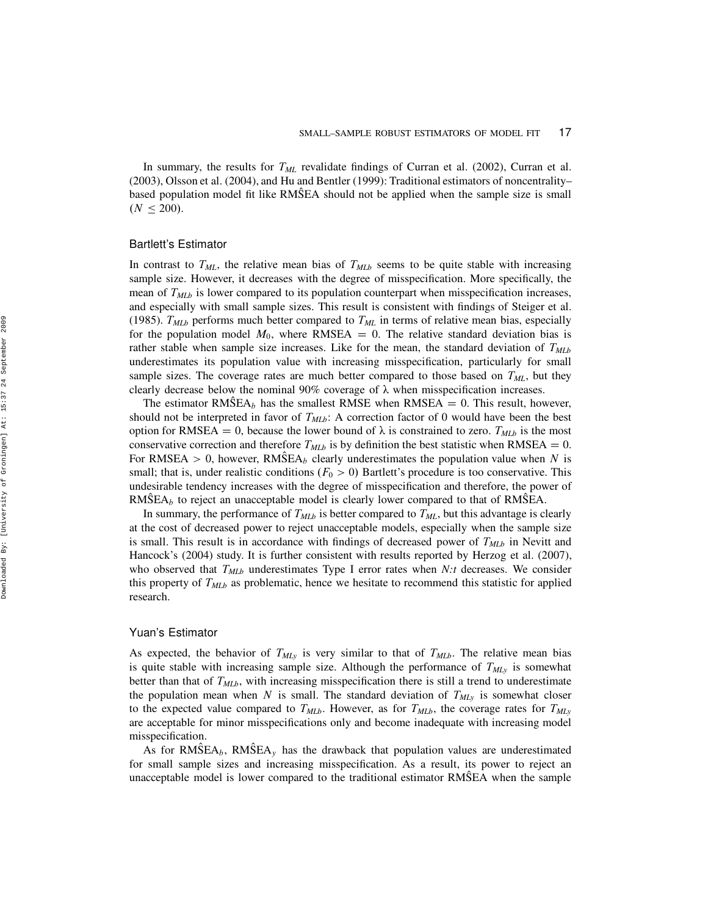In summary, the results for  $T_{ML}$  revalidate findings of Curran et al. (2002), Curran et al. (2003), Olsson et al. (2004), and Hu and Bentler (1999): Traditional estimators of noncentrality– based population model fit like RMSEA should not be applied when the sample size is small  $(N \le 200)$ .

#### Bartlett's Estimator

In contrast to  $T_{ML}$ , the relative mean bias of  $T_{MLb}$  seems to be quite stable with increasing sample size. However, it decreases with the degree of misspecification. More specifically, the mean of  $T_{MLb}$  is lower compared to its population counterpart when misspecification increases, and especially with small sample sizes. This result is consistent with findings of Steiger et al. (1985).  $T_{MLb}$  performs much better compared to  $T_{ML}$  in terms of relative mean bias, especially for the population model  $M_0$ , where RMSEA = 0. The relative standard deviation bias is rather stable when sample size increases. Like for the mean, the standard deviation of  $T_{MLb}$ underestimates its population value with increasing misspecification, particularly for small sample sizes. The coverage rates are much better compared to those based on  $T_{ML}$ , but they clearly decrease below the nominal 90% coverage of  $\lambda$  when misspecification increases.

The estimator RMSEA<sub>b</sub> has the smallest RMSE when RMSEA = 0. This result, however, should not be interpreted in favor of  $T_{MLb}$ : A correction factor of 0 would have been the best option for RMSEA = 0, because the lower bound of  $\lambda$  is constrained to zero.  $T_{MLb}$  is the most conservative correction and therefore  $T_{MLb}$  is by definition the best statistic when RMSEA = 0. For RMSEA > 0, however, RMSEA<sub>b</sub> clearly underestimates the population value when N is small; that is, under realistic conditions ( $F_0 > 0$ ) Bartlett's procedure is too conservative. This undesirable tendency increases with the degree of misspecification and therefore, the power of  $RM\hat{S}EA_b$  to reject an unacceptable model is clearly lower compared to that of RM $\hat{S}EA$ .

In summary, the performance of  $T_{MLb}$  is better compared to  $T_{ML}$ , but this advantage is clearly at the cost of decreased power to reject unacceptable models, especially when the sample size is small. This result is in accordance with findings of decreased power of  $T_{MLb}$  in Nevitt and Hancock's (2004) study. It is further consistent with results reported by Herzog et al. (2007), who observed that  $T_{MLb}$  underestimates Type I error rates when N:t decreases. We consider this property of  $T_{MLb}$  as problematic, hence we hesitate to recommend this statistic for applied research.

#### Yuan's Estimator

As expected, the behavior of  $T_{MLy}$  is very similar to that of  $T_{MLb}$ . The relative mean bias is quite stable with increasing sample size. Although the performance of  $T_{MLv}$  is somewhat better than that of  $T<sub>MLb</sub>$ , with increasing misspecification there is still a trend to underestimate the population mean when N is small. The standard deviation of  $T_{Ml}$  is somewhat closer to the expected value compared to  $T_{MLb}$ . However, as for  $T_{MLb}$ , the coverage rates for  $T_{MLb}$ are acceptable for minor misspecifications only and become inadequate with increasing model misspecification.

As for RM $\hat{S}EA_b$ , RM $\hat{S}EA_y$  has the drawback that population values are underestimated for small sample sizes and increasing misspecification. As a result, its power to reject an unacceptable model is lower compared to the traditional estimator RMSEA when the sample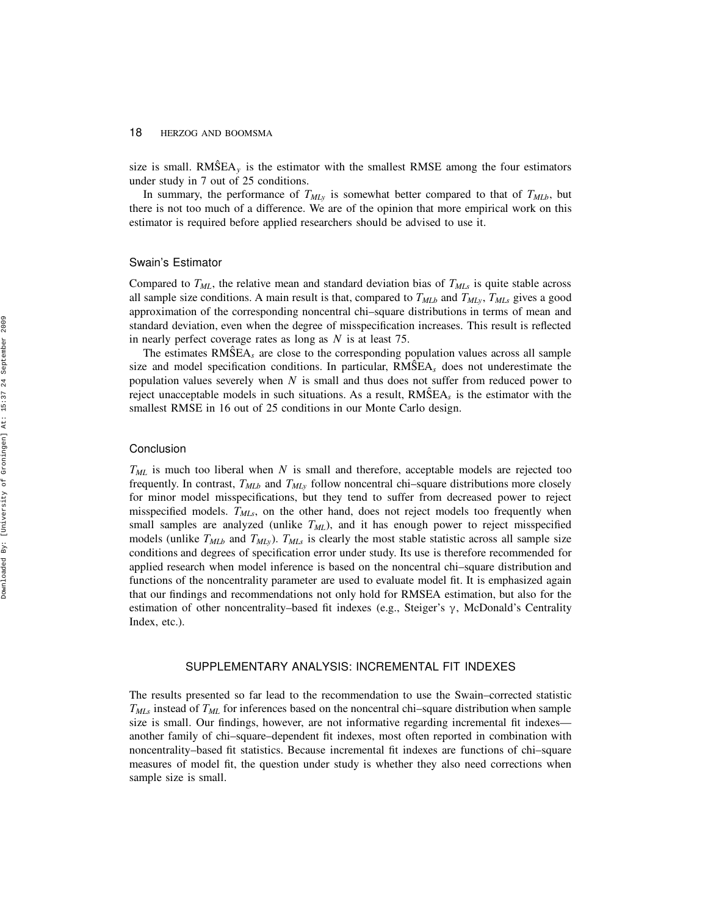size is small.  $RM\hat{S}EA_y$  is the estimator with the smallest RMSE among the four estimators under study in 7 out of 25 conditions.

In summary, the performance of  $T_{MLy}$  is somewhat better compared to that of  $T_{MLb}$ , but there is not too much of a difference. We are of the opinion that more empirical work on this estimator is required before applied researchers should be advised to use it.

## Swain's Estimator

Compared to  $T_{ML}$ , the relative mean and standard deviation bias of  $T_{MLs}$  is quite stable across all sample size conditions. A main result is that, compared to  $T_{MLb}$  and  $T_{MLy}$ ,  $T_{MLs}$  gives a good approximation of the corresponding noncentral chi–square distributions in terms of mean and standard deviation, even when the degree of misspecification increases. This result is reflected in nearly perfect coverage rates as long as  $N$  is at least 75.

The estimates  $RM\hat{S}EA_s$  are close to the corresponding population values across all sample size and model specification conditions. In particular,  $RM\hat{S}EA_s$  does not underestimate the population values severely when  $N$  is small and thus does not suffer from reduced power to reject unacceptable models in such situations. As a result,  $RM\hat{S}EA_s$  is the estimator with the smallest RMSE in 16 out of 25 conditions in our Monte Carlo design.

#### Conclusion

 $T_{ML}$  is much too liberal when N is small and therefore, acceptable models are rejected too frequently. In contrast,  $T_{MLb}$  and  $T_{MLv}$  follow noncentral chi–square distributions more closely for minor model misspecifications, but they tend to suffer from decreased power to reject misspecified models.  $T_{MLs}$ , on the other hand, does not reject models too frequently when small samples are analyzed (unlike  $T_{ML}$ ), and it has enough power to reject misspecified models (unlike  $T_{MLb}$  and  $T_{MLy}$ ).  $T_{MLs}$  is clearly the most stable statistic across all sample size conditions and degrees of specification error under study. Its use is therefore recommended for applied research when model inference is based on the noncentral chi–square distribution and functions of the noncentrality parameter are used to evaluate model fit. It is emphasized again that our findings and recommendations not only hold for RMSEA estimation, but also for the estimation of other noncentrality–based fit indexes (e.g., Steiger's  $\gamma$ , McDonald's Centrality Index, etc.).

## SUPPLEMENTARY ANALYSIS: INCREMENTAL FIT INDEXES

The results presented so far lead to the recommendation to use the Swain–corrected statistic  $T_{MLs}$  instead of  $T_{ML}$  for inferences based on the noncentral chi–square distribution when sample size is small. Our findings, however, are not informative regarding incremental fit indexes another family of chi–square–dependent fit indexes, most often reported in combination with noncentrality–based fit statistics. Because incremental fit indexes are functions of chi–square measures of model fit, the question under study is whether they also need corrections when sample size is small.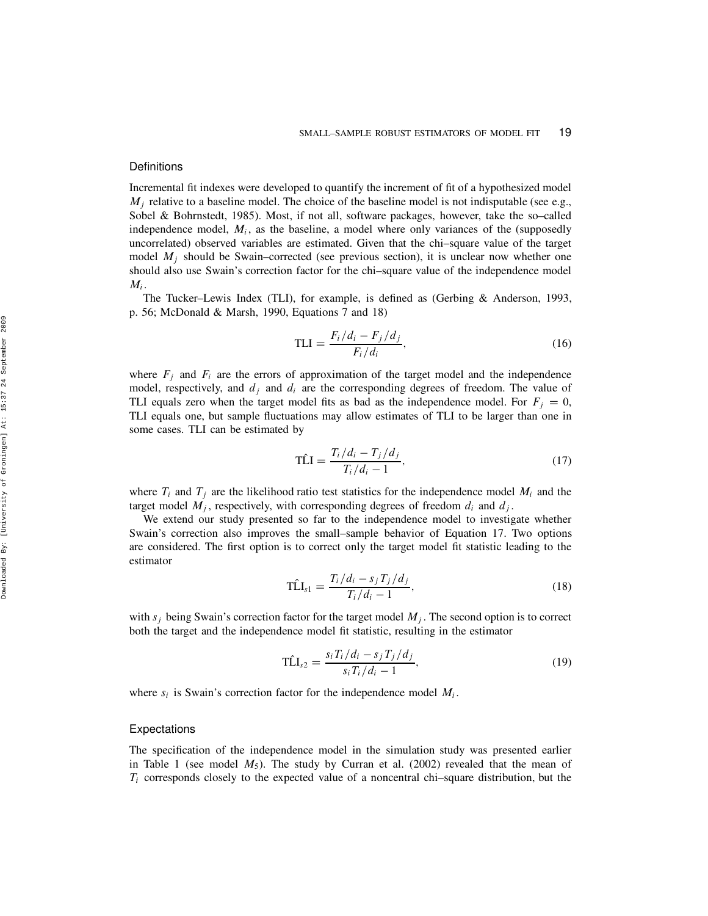## **Definitions**

Incremental fit indexes were developed to quantify the increment of fit of a hypothesized model  $M_i$  relative to a baseline model. The choice of the baseline model is not indisputable (see e.g., Sobel & Bohrnstedt, 1985). Most, if not all, software packages, however, take the so–called independence model,  $M_i$ , as the baseline, a model where only variances of the (supposedly uncorrelated) observed variables are estimated. Given that the chi–square value of the target model  $M_i$  should be Swain–corrected (see previous section), it is unclear now whether one should also use Swain's correction factor for the chi–square value of the independence model  $M_i$  .

The Tucker–Lewis Index (TLI), for example, is defined as (Gerbing & Anderson, 1993, p. 56; McDonald & Marsh, 1990, Equations 7 and 18)

$$
TLI = \frac{F_i/d_i - F_j/d_j}{F_i/d_i},\tag{16}
$$

where  $F_j$  and  $F_i$  are the errors of approximation of the target model and the independence model, respectively, and  $d_i$  and  $d_i$  are the corresponding degrees of freedom. The value of TLI equals zero when the target model fits as bad as the independence model. For  $F_i = 0$ , TLI equals one, but sample fluctuations may allow estimates of TLI to be larger than one in some cases. TLI can be estimated by

$$
\hat{\text{TLI}} = \frac{T_i/d_i - T_j/d_j}{T_i/d_i - 1},\tag{17}
$$

where  $T_i$  and  $T_j$  are the likelihood ratio test statistics for the independence model  $M_i$  and the target model  $M_i$ , respectively, with corresponding degrees of freedom  $d_i$  and  $d_i$ .

We extend our study presented so far to the independence model to investigate whether Swain's correction also improves the small–sample behavior of Equation 17. Two options are considered. The first option is to correct only the target model fit statistic leading to the estimator

$$
\hat{\text{TLL}}_{s1} = \frac{T_i/d_i - s_j T_j/d_j}{T_i/d_i - 1},\tag{18}
$$

with  $s_j$  being Swain's correction factor for the target model  $M_j$ . The second option is to correct both the target and the independence model fit statistic, resulting in the estimator

$$
\hat{\text{TLL}}_{s2} = \frac{s_i T_i / d_i - s_j T_j / d_j}{s_i T_i / d_i - 1},\tag{19}
$$

where  $s_i$  is Swain's correction factor for the independence model  $M_i$ .

#### Expectations

The specification of the independence model in the simulation study was presented earlier in Table 1 (see model  $M_5$ ). The study by Curran et al. (2002) revealed that the mean of  $T_i$  corresponds closely to the expected value of a noncentral chi–square distribution, but the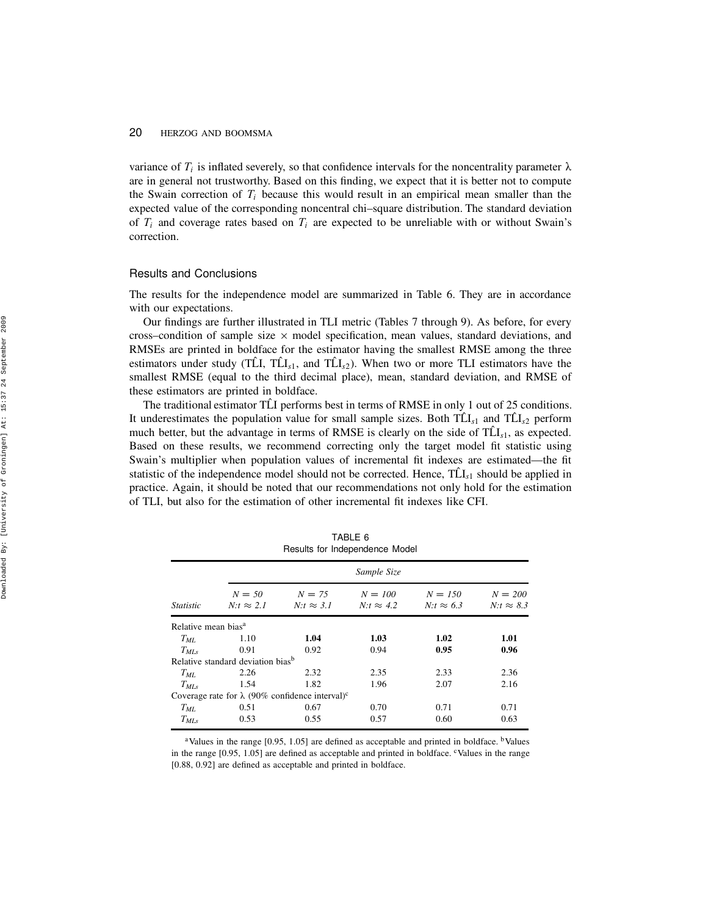variance of  $T_i$  is inflated severely, so that confidence intervals for the noncentrality parameter  $\lambda$ are in general not trustworthy. Based on this finding, we expect that it is better not to compute the Swain correction of  $T_i$  because this would result in an empirical mean smaller than the expected value of the corresponding noncentral chi–square distribution. The standard deviation of  $T_i$  and coverage rates based on  $T_i$  are expected to be unreliable with or without Swain's correction.

## Results and Conclusions

The results for the independence model are summarized in Table 6. They are in accordance with our expectations.

Our findings are further illustrated in TLI metric (Tables 7 through 9). As before, for every  $cross–condition of sample size  $\times$  model specification, mean values, standard deviations, and$ RMSEs are printed in boldface for the estimator having the smallest RMSE among the three estimators under study (TLI, TLI<sub>s1</sub>, and TLI<sub>s2</sub>). When two or more TLI estimators have the smallest RMSE (equal to the third decimal place), mean, standard deviation, and RMSE of these estimators are printed in boldface.

The traditional estimator TLI performs best in terms of RMSE in only 1 out of 25 conditions. It underestimates the population value for small sample sizes. Both  $T\hat{L}I_{s1}$  and  $T\hat{L}I_{s2}$  perform much better, but the advantage in terms of RMSE is clearly on the side of  $T\hat{L}I_{s1}$ , as expected. Based on these results, we recommend correcting only the target model fit statistic using Swain's multiplier when population values of incremental fit indexes are estimated—the fit statistic of the independence model should not be corrected. Hence,  $T\hat{L}I_{s1}$  should be applied in practice. Again, it should be noted that our recommendations not only hold for the estimation of TLI, but also for the estimation of other incremental fit indexes like CFI.

| <i>Statistic</i>                |                                               | Sample Size                                                        |                                 |                                 |                                |  |  |
|---------------------------------|-----------------------------------------------|--------------------------------------------------------------------|---------------------------------|---------------------------------|--------------------------------|--|--|
|                                 | $N = 50$<br>$N: t \approx 2.1$                | $N = 75$<br>$N: t \approx 3.1$                                     | $N = 100$<br>$N: t \approx 4.2$ | $N = 150$<br>$N: t \approx 6.3$ | $N = 200$<br>$N:t \approx 8.3$ |  |  |
| Relative mean bias <sup>a</sup> |                                               |                                                                    |                                 |                                 |                                |  |  |
| $T_{ML}$                        | 1.10                                          | 1.04                                                               | 1.03                            | 1.02                            | 1.01                           |  |  |
| $T_{MLs}$                       | 0.91                                          | 0.92                                                               | 0.94                            | 0.95                            | 0.96                           |  |  |
|                                 | Relative standard deviation bias <sup>b</sup> |                                                                    |                                 |                                 |                                |  |  |
| $T_{ML}$                        | 2.26                                          | 2.32                                                               | 2.35                            | 2.33                            | 2.36                           |  |  |
| $T_{MI,s}$                      | 1.54                                          | 1.82                                                               | 1.96                            | 2.07                            | 2.16                           |  |  |
|                                 |                                               | Coverage rate for $\lambda$ (90% confidence interval) <sup>c</sup> |                                 |                                 |                                |  |  |
| $T_{ML}$                        | 0.51                                          | 0.67                                                               | 0.70                            | 0.71                            | 0.71                           |  |  |
| $T_{MLs}$                       | 0.53                                          | 0.55                                                               | 0.57                            | 0.60                            | 0.63                           |  |  |

TABLE 6 Results for Independence Model

<sup>a</sup>Values in the range  $[0.95, 1.05]$  are defined as acceptable and printed in boldface. <sup>b</sup>Values in the range [0.95, 1.05] are defined as acceptable and printed in boldface. CValues in the range [0.88, 0.92] are defined as acceptable and printed in boldface.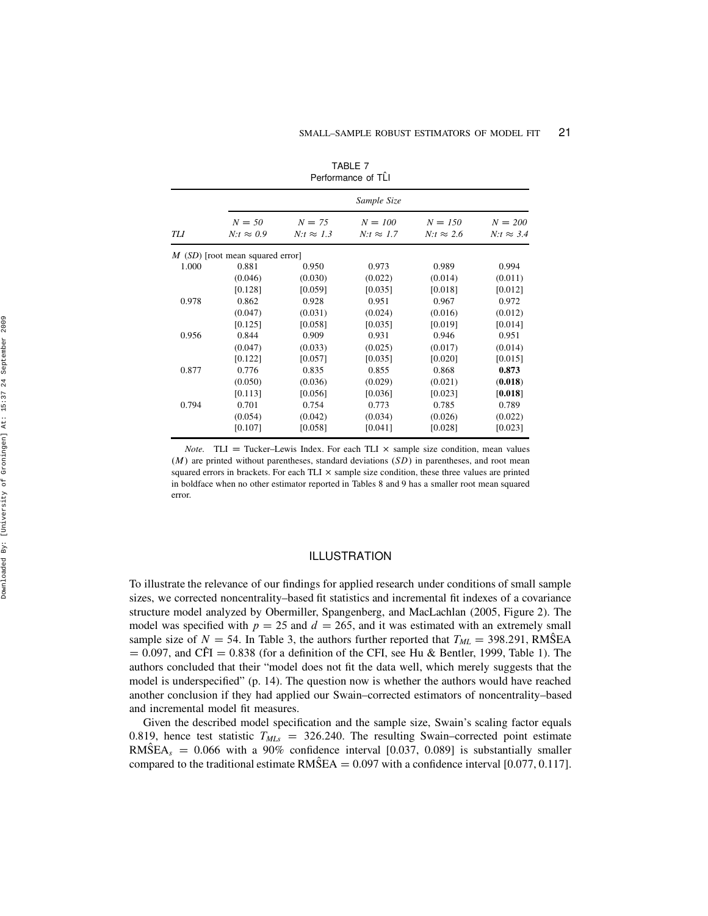|       | i chomance of iEl                  |                               |                                |                                |                                |  |  |  |
|-------|------------------------------------|-------------------------------|--------------------------------|--------------------------------|--------------------------------|--|--|--|
|       | Sample Size                        |                               |                                |                                |                                |  |  |  |
| TLI   | $N = 50$<br>$N:t \approx 0.9$      | $N = 75$<br>$N:t \approx 1.3$ | $N = 100$<br>$N:t \approx 1.7$ | $N = 150$<br>$N:t \approx 2.6$ | $N = 200$<br>$N:t \approx 3.4$ |  |  |  |
|       | $M$ (SD) [root mean squared error] |                               |                                |                                |                                |  |  |  |
| 1.000 | 0.881                              | 0.950                         | 0.973                          | 0.989                          | 0.994                          |  |  |  |
|       | (0.046)                            | (0.030)                       | (0.022)                        | (0.014)                        | (0.011)                        |  |  |  |
|       | [0.128]                            | [0.059]                       | [0.035]                        | [0.018]                        | [0.012]                        |  |  |  |
| 0.978 | 0.862                              | 0.928                         | 0.951                          | 0.967                          | 0.972                          |  |  |  |
|       | (0.047)                            | (0.031)                       | (0.024)                        | (0.016)                        | (0.012)                        |  |  |  |
|       | [0.125]                            | [0.058]                       | [0.035]                        | [0.019]                        | [0.014]                        |  |  |  |
| 0.956 | 0.844                              | 0.909                         | 0.931                          | 0.946                          | 0.951                          |  |  |  |
|       | (0.047)                            | (0.033)                       | (0.025)                        | (0.017)                        | (0.014)                        |  |  |  |
|       | [0.122]                            | [0.057]                       | [0.035]                        | [0.020]                        | [0.015]                        |  |  |  |
| 0.877 | 0.776                              | 0.835                         | 0.855                          | 0.868                          | 0.873                          |  |  |  |
|       | (0.050)                            | (0.036)                       | (0.029)                        | (0.021)                        | (0.018)                        |  |  |  |
|       | [0.113]                            | [0.056]                       | [0.036]                        | [0.023]                        | [0.018]                        |  |  |  |
| 0.794 | 0.701                              | 0.754                         | 0.773                          | 0.785                          | 0.789                          |  |  |  |
|       | (0.054)                            | (0.042)                       | (0.034)                        | (0.026)                        | (0.022)                        |  |  |  |
|       | [0.107]                            | [0.058]                       | [0.041]                        | [0.028]                        | [0.023]                        |  |  |  |
|       |                                    |                               |                                |                                |                                |  |  |  |

TABLE 7 Performance of TLI

*Note*. TLI = Tucker-Lewis Index. For each TLI  $\times$  sample size condition, mean values  $(M)$  are printed without parentheses, standard deviations  $(SD)$  in parentheses, and root mean squared errors in brackets. For each TLI  $\times$  sample size condition, these three values are printed in boldface when no other estimator reported in Tables 8 and 9 has a smaller root mean squared error.

## ILLUSTRATION

To illustrate the relevance of our findings for applied research under conditions of small sample sizes, we corrected noncentrality–based fit statistics and incremental fit indexes of a covariance structure model analyzed by Obermiller, Spangenberg, and MacLachlan (2005, Figure 2). The model was specified with  $p = 25$  and  $d = 265$ , and it was estimated with an extremely small sample size of  $N = 54$ . In Table 3, the authors further reported that  $T_{ML} = 398.291$ , RMSEA  $= 0.097$ , and CFI = 0.838 (for a definition of the CFI, see Hu & Bentler, 1999, Table 1). The authors concluded that their "model does not fit the data well, which merely suggests that the model is underspecified" (p. 14). The question now is whether the authors would have reached another conclusion if they had applied our Swain–corrected estimators of noncentrality–based and incremental model fit measures.

Given the described model specification and the sample size, Swain's scaling factor equals 0.819, hence test statistic  $T_{MLs} = 326.240$ . The resulting Swain–corrected point estimate RMSEA<sub>s</sub> = 0.066 with a 90% confidence interval [0.037, 0.089] is substantially smaller compared to the traditional estimate  $RM\hat{S}EA = 0.097$  with a confidence interval [0.077, 0.117].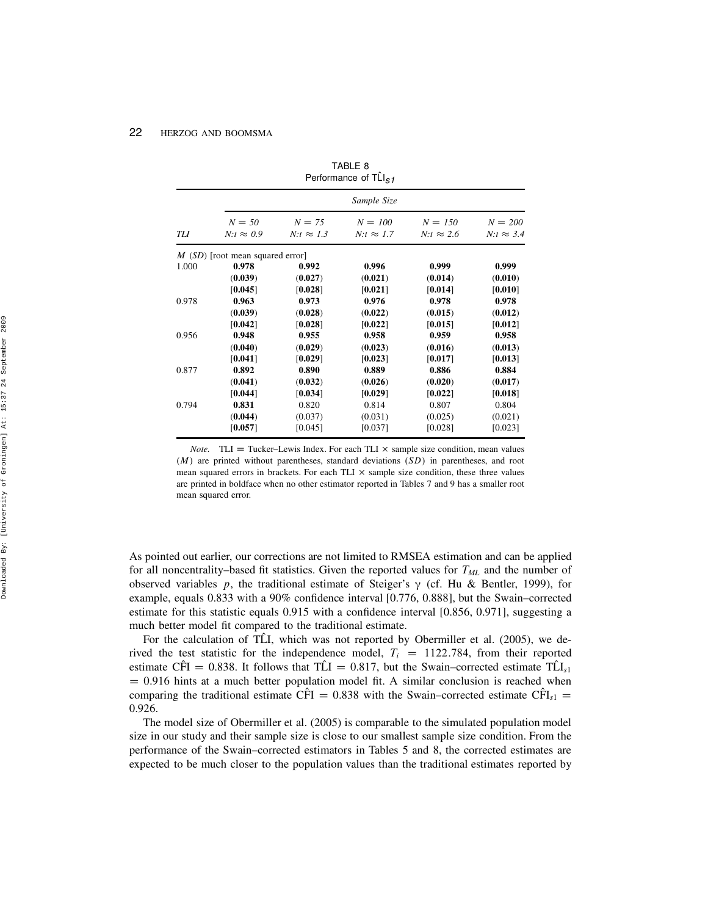| $\overline{1}$ chonnance of $1 - \overline{1}$ |                                    |                   |                   |                    |                    |  |  |  |  |
|------------------------------------------------|------------------------------------|-------------------|-------------------|--------------------|--------------------|--|--|--|--|
|                                                |                                    | Sample Size       |                   |                    |                    |  |  |  |  |
|                                                | $N = 50$                           | $N = 75$          | $N = 100$         | $N = 150$          | $N = 200$          |  |  |  |  |
| TLI                                            | $N:t \approx 0.9$                  | $N:t \approx 1.3$ | $N:t \approx 1.7$ | $N: t \approx 2.6$ | $N: t \approx 3.4$ |  |  |  |  |
|                                                | $M$ (SD) [root mean squared error] |                   |                   |                    |                    |  |  |  |  |
| 1.000                                          | 0.978                              | 0.992             | 0.996             | 0.999              | 0.999              |  |  |  |  |
|                                                | (0.039)                            | (0.027)           | (0.021)           | (0.014)            | (0.010)            |  |  |  |  |
|                                                | [0.045]                            | [0.028]           | [0.021]           | [0.014]            | [0.010]            |  |  |  |  |
| 0.978                                          | 0.963                              | 0.973             | 0.976             | 0.978              | 0.978              |  |  |  |  |
|                                                | (0.039)                            | (0.028)           | (0.022)           | (0.015)            | (0.012)            |  |  |  |  |
|                                                | [0.042]                            | [0.028]           | [0.022]           | [0.015]            | [0.012]            |  |  |  |  |
| 0.956                                          | 0.948                              | 0.955             | 0.958             | 0.959              | 0.958              |  |  |  |  |
|                                                | (0.040)                            | (0.029)           | (0.023)           | (0.016)            | (0.013)            |  |  |  |  |
|                                                | [0.041]                            | [0.029]           | [0.023]           | [0.017]            | [0.013]            |  |  |  |  |
| 0.877                                          | 0.892                              | 0.890             | 0.889             | 0.886              | 0.884              |  |  |  |  |
|                                                | (0.041)                            | (0.032)           | (0.026)           | (0.020)            | (0.017)            |  |  |  |  |
|                                                | [0.044]                            | [0.034]           | [0.029]           | [0.022]            | [0.018]            |  |  |  |  |
| 0.794                                          | 0.831                              | 0.820             | 0.814             | 0.807              | 0.804              |  |  |  |  |
|                                                | (0.044)                            | (0.037)           | (0.031)           | (0.025)            | (0.021)            |  |  |  |  |
|                                                | [0.057]                            | [0.045]           | [0.037]           | [0.028]            | [0.023]            |  |  |  |  |

TABLE 8 Performance of TLI<sub>S1</sub>

*Note.* TLI = Tucker-Lewis Index. For each TLI  $\times$  sample size condition, mean values  $(M)$  are printed without parentheses, standard deviations  $(SD)$  in parentheses, and root mean squared errors in brackets. For each TLI  $\times$  sample size condition, these three values are printed in boldface when no other estimator reported in Tables 7 and 9 has a smaller root mean squared error.

As pointed out earlier, our corrections are not limited to RMSEA estimation and can be applied for all noncentrality–based fit statistics. Given the reported values for  $T_{ML}$  and the number of observed variables p, the traditional estimate of Steiger's  $\gamma$  (cf. Hu & Bentler, 1999), for example, equals 0.833 with a 90% confidence interval [0.776, 0.888], but the Swain–corrected estimate for this statistic equals 0.915 with a confidence interval [0.856, 0.971], suggesting a much better model fit compared to the traditional estimate.

For the calculation of TLI, which was not reported by Obermiller et al.  $(2005)$ , we derived the test statistic for the independence model,  $T_i = 1122.784$ , from their reported estimate C $\hat{F}I = 0.838$ . It follows that T $\hat{L}I = 0.817$ , but the Swain–corrected estimate T $\hat{L}I_{s1}$  $= 0.916$  hints at a much better population model fit. A similar conclusion is reached when comparing the traditional estimate  $\widehat{CFT} = 0.838$  with the Swain–corrected estimate  $\widehat{CFT}_{s1} =$ 0.926.

The model size of Obermiller et al. (2005) is comparable to the simulated population model size in our study and their sample size is close to our smallest sample size condition. From the performance of the Swain–corrected estimators in Tables 5 and 8, the corrected estimates are expected to be much closer to the population values than the traditional estimates reported by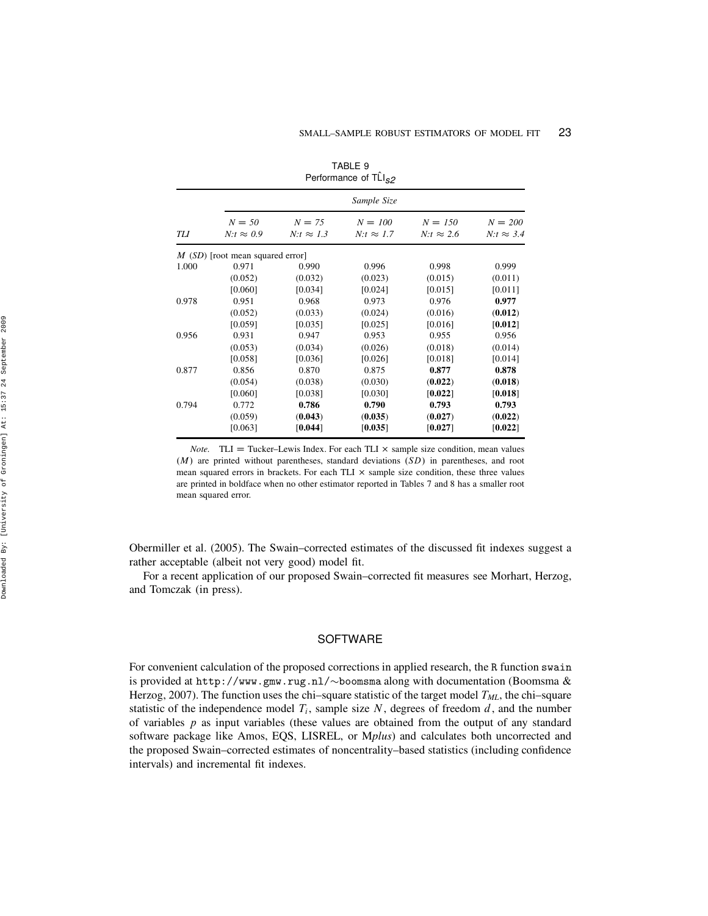|       |                                    | Performance of $ILlS$         |                                |                                 |                                 |  |  |  |  |
|-------|------------------------------------|-------------------------------|--------------------------------|---------------------------------|---------------------------------|--|--|--|--|
|       |                                    | Sample Size                   |                                |                                 |                                 |  |  |  |  |
| TLI   | $N = 50$<br>$N:t \approx 0.9$      | $N = 75$<br>$N:t \approx 1.3$ | $N = 100$<br>$N:t \approx 1.7$ | $N = 150$<br>$N: t \approx 2.6$ | $N = 200$<br>$N: t \approx 3.4$ |  |  |  |  |
|       | $M$ (SD) [root mean squared error] |                               |                                |                                 |                                 |  |  |  |  |
| 1.000 | 0.971                              | 0.990                         | 0.996                          | 0.998                           | 0.999                           |  |  |  |  |
|       | (0.052)                            | (0.032)                       | (0.023)                        | (0.015)                         | (0.011)                         |  |  |  |  |
|       | [0.060]                            | [0.034]                       | [0.024]                        | [0.015]                         | [0.011]                         |  |  |  |  |
| 0.978 | 0.951                              | 0.968                         | 0.973                          | 0.976                           | 0.977                           |  |  |  |  |
|       | (0.052)                            | (0.033)                       | (0.024)                        | (0.016)                         | (0.012)                         |  |  |  |  |
|       | [0.059]                            | [0.035]                       | [0.025]                        | [0.016]                         | [0.012]                         |  |  |  |  |
| 0.956 | 0.931                              | 0.947                         | 0.953                          | 0.955                           | 0.956                           |  |  |  |  |
|       | (0.053)                            | (0.034)                       | (0.026)                        | (0.018)                         | (0.014)                         |  |  |  |  |
|       | [0.058]                            | [0.036]                       | [0.026]                        | [0.018]                         | [0.014]                         |  |  |  |  |
| 0.877 | 0.856                              | 0.870                         | 0.875                          | 0.877                           | 0.878                           |  |  |  |  |
|       | (0.054)                            | (0.038)                       | (0.030)                        | (0.022)                         | (0.018)                         |  |  |  |  |
|       | [0.060]                            | [0.038]                       | [0.030]                        | [0.022]                         | [0.018]                         |  |  |  |  |
| 0.794 | 0.772                              | 0.786                         | 0.790                          | 0.793                           | 0.793                           |  |  |  |  |
|       | (0.059)                            | (0.043)                       | (0.035)                        | (0.027)                         | (0.022)                         |  |  |  |  |
|       | [0.063]                            | [0.044]                       | [0.035]                        | [0.027]                         | [0.022]                         |  |  |  |  |

TABLE 9 Performance of TLI

*Note.* TLI = Tucker–Lewis Index. For each TLI  $\times$  sample size condition, mean values  $(M)$  are printed without parentheses, standard deviations  $(SD)$  in parentheses, and root mean squared errors in brackets. For each TLI  $\times$  sample size condition, these three values are printed in boldface when no other estimator reported in Tables 7 and 8 has a smaller root mean squared error.

Obermiller et al. (2005). The Swain–corrected estimates of the discussed fit indexes suggest a rather acceptable (albeit not very good) model fit.

For a recent application of our proposed Swain–corrected fit measures see Morhart, Herzog, and Tomczak (in press).

## **SOFTWARE**

For convenient calculation of the proposed corrections in applied research, the R function swain is provided at [http://www.gmw.rug.nl/](http://www.gmw.rug.nl/~boomsma)~boomsma along with documentation (Boomsma & Herzog, 2007). The function uses the chi–square statistic of the target model  $T_{ML}$ , the chi–square statistic of the independence model  $T_i$ , sample size N, degrees of freedom d, and the number of variables  $p$  as input variables (these values are obtained from the output of any standard software package like Amos, EQS, LISREL, or Mplus) and calculates both uncorrected and the proposed Swain–corrected estimates of noncentrality–based statistics (including confidence intervals) and incremental fit indexes.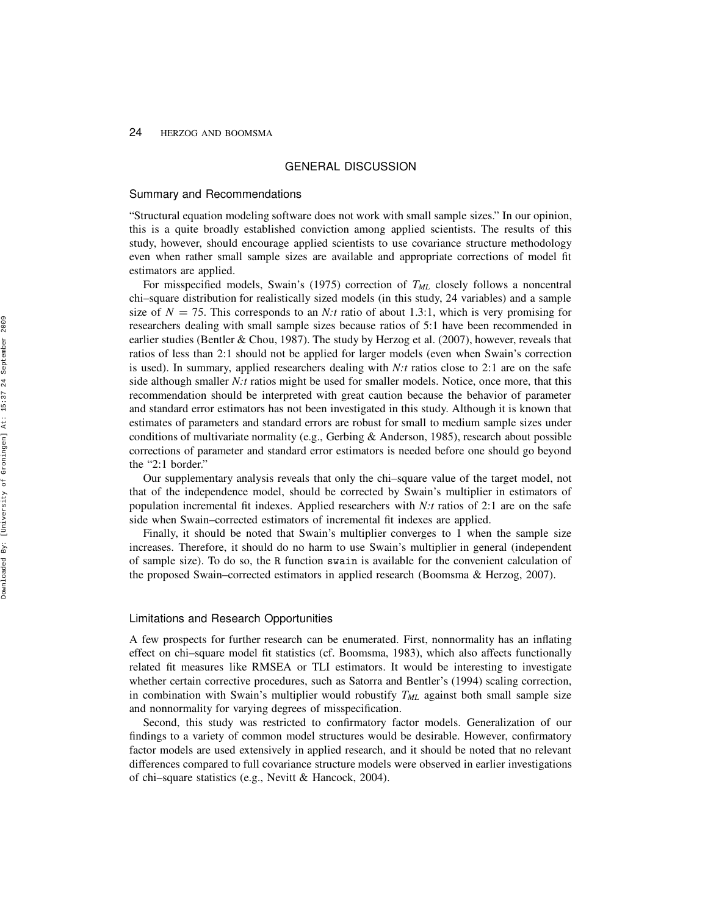#### GENERAL DISCUSSION

#### Summary and Recommendations

"Structural equation modeling software does not work with small sample sizes." In our opinion, this is a quite broadly established conviction among applied scientists. The results of this study, however, should encourage applied scientists to use covariance structure methodology even when rather small sample sizes are available and appropriate corrections of model fit estimators are applied.

For misspecified models, Swain's (1975) correction of  $T_{ML}$  closely follows a noncentral chi–square distribution for realistically sized models (in this study, 24 variables) and a sample size of  $N = 75$ . This corresponds to an *N:t* ratio of about 1.3:1, which is very promising for researchers dealing with small sample sizes because ratios of 5:1 have been recommended in earlier studies (Bentler & Chou, 1987). The study by Herzog et al. (2007), however, reveals that ratios of less than 2:1 should not be applied for larger models (even when Swain's correction is used). In summary, applied researchers dealing with  $N$ :t ratios close to 2:1 are on the safe side although smaller  $N$ : t ratios might be used for smaller models. Notice, once more, that this recommendation should be interpreted with great caution because the behavior of parameter and standard error estimators has not been investigated in this study. Although it is known that estimates of parameters and standard errors are robust for small to medium sample sizes under conditions of multivariate normality (e.g., Gerbing  $\&$  Anderson, 1985), research about possible corrections of parameter and standard error estimators is needed before one should go beyond the "2:1 border."

Our supplementary analysis reveals that only the chi–square value of the target model, not that of the independence model, should be corrected by Swain's multiplier in estimators of population incremental fit indexes. Applied researchers with  $N$ :t ratios of 2:1 are on the safe side when Swain–corrected estimators of incremental fit indexes are applied.

Finally, it should be noted that Swain's multiplier converges to 1 when the sample size increases. Therefore, it should do no harm to use Swain's multiplier in general (independent of sample size). To do so, the R function swain is available for the convenient calculation of the proposed Swain–corrected estimators in applied research (Boomsma & Herzog, 2007).

#### Limitations and Research Opportunities

A few prospects for further research can be enumerated. First, nonnormality has an inflating effect on chi–square model fit statistics (cf. Boomsma, 1983), which also affects functionally related fit measures like RMSEA or TLI estimators. It would be interesting to investigate whether certain corrective procedures, such as Satorra and Bentler's (1994) scaling correction, in combination with Swain's multiplier would robustify  $T_{ML}$  against both small sample size and nonnormality for varying degrees of misspecification.

Second, this study was restricted to confirmatory factor models. Generalization of our findings to a variety of common model structures would be desirable. However, confirmatory factor models are used extensively in applied research, and it should be noted that no relevant differences compared to full covariance structure models were observed in earlier investigations of chi–square statistics (e.g., Nevitt & Hancock, 2004).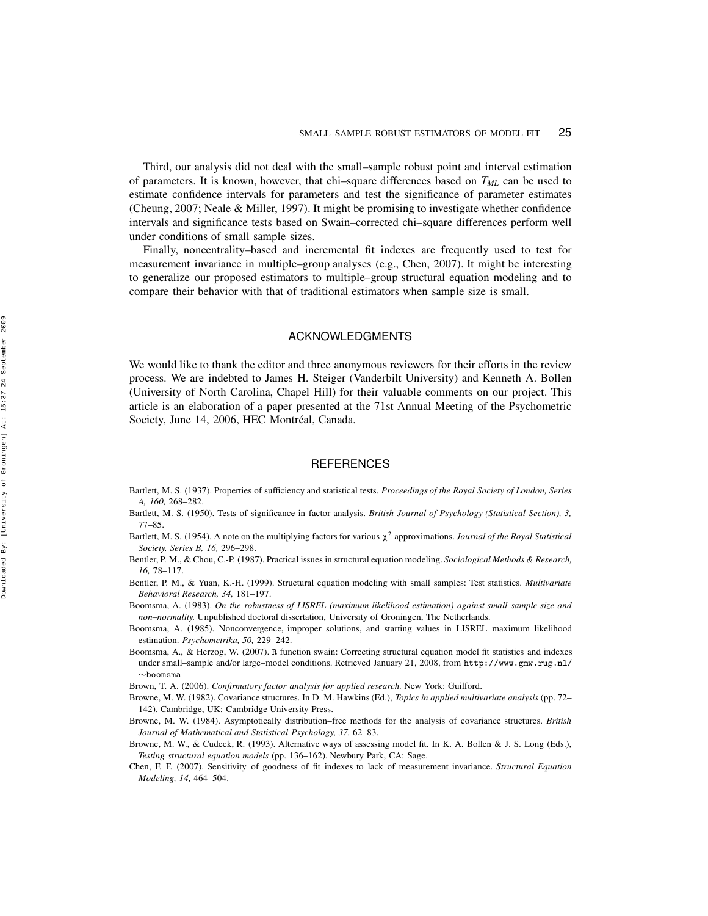Third, our analysis did not deal with the small–sample robust point and interval estimation of parameters. It is known, however, that chi-square differences based on  $T_{ML}$  can be used to estimate confidence intervals for parameters and test the significance of parameter estimates (Cheung, 2007; Neale & Miller, 1997). It might be promising to investigate whether confidence intervals and significance tests based on Swain–corrected chi–square differences perform well under conditions of small sample sizes.

Finally, noncentrality–based and incremental fit indexes are frequently used to test for measurement invariance in multiple–group analyses (e.g., Chen, 2007). It might be interesting to generalize our proposed estimators to multiple–group structural equation modeling and to compare their behavior with that of traditional estimators when sample size is small.

## ACKNOWLEDGMENTS

We would like to thank the editor and three anonymous reviewers for their efforts in the review process. We are indebted to James H. Steiger (Vanderbilt University) and Kenneth A. Bollen (University of North Carolina, Chapel Hill) for their valuable comments on our project. This article is an elaboration of a paper presented at the 71st Annual Meeting of the Psychometric Society, June 14, 2006, HEC Montréal, Canada.

## **REFERENCES**

- Bartlett, M. S. (1937). Properties of sufficiency and statistical tests. Proceedings of the Royal Society of London, Series A, 160, 268–282.
- Bartlett, M. S. (1950). Tests of significance in factor analysis. British Journal of Psychology (Statistical Section), 3, 77–85.
- Bartlett, M. S. (1954). A note on the multiplying factors for various  $\chi^2$  approximations. Journal of the Royal Statistical Society, Series B, 16, 296–298.
- Bentler, P. M., & Chou, C.-P. (1987). Practical issues in structural equation modeling. Sociological Methods & Research, 16, 78–117.
- Bentler, P. M., & Yuan, K.-H. (1999). Structural equation modeling with small samples: Test statistics. Multivariate Behavioral Research, 34, 181–197.
- Boomsma, A. (1983). On the robustness of LISREL (maximum likelihood estimation) against small sample size and non–normality. Unpublished doctoral dissertation, University of Groningen, The Netherlands.
- Boomsma, A. (1985). Nonconvergence, improper solutions, and starting values in LISREL maximum likelihood estimation. Psychometrika, 50, 229–242.
- Boomsma, A., & Herzog, W. (2007). R function swain: Correcting structural equation model fit statistics and indexes under small–sample and/or large–model conditions. Retrieved January 21, 2008, from [http://www.gmw.rug.nl/](http://www.gmw.rug.nl/~boomsma)  $\sim$ boomsma
- Brown, T. A. (2006). Confirmatory factor analysis for applied research. New York: Guilford.
- Browne, M. W. (1982). Covariance structures. In D. M. Hawkins (Ed.), Topics in applied multivariate analysis (pp. 72– 142). Cambridge, UK: Cambridge University Press.
- Browne, M. W. (1984). Asymptotically distribution–free methods for the analysis of covariance structures. British Journal of Mathematical and Statistical Psychology, 37, 62–83.
- Browne, M. W., & Cudeck, R. (1993). Alternative ways of assessing model fit. In K. A. Bollen & J. S. Long (Eds.), Testing structural equation models (pp. 136–162). Newbury Park, CA: Sage.
- Chen, F. F. (2007). Sensitivity of goodness of fit indexes to lack of measurement invariance. Structural Equation Modeling, 14, 464–504.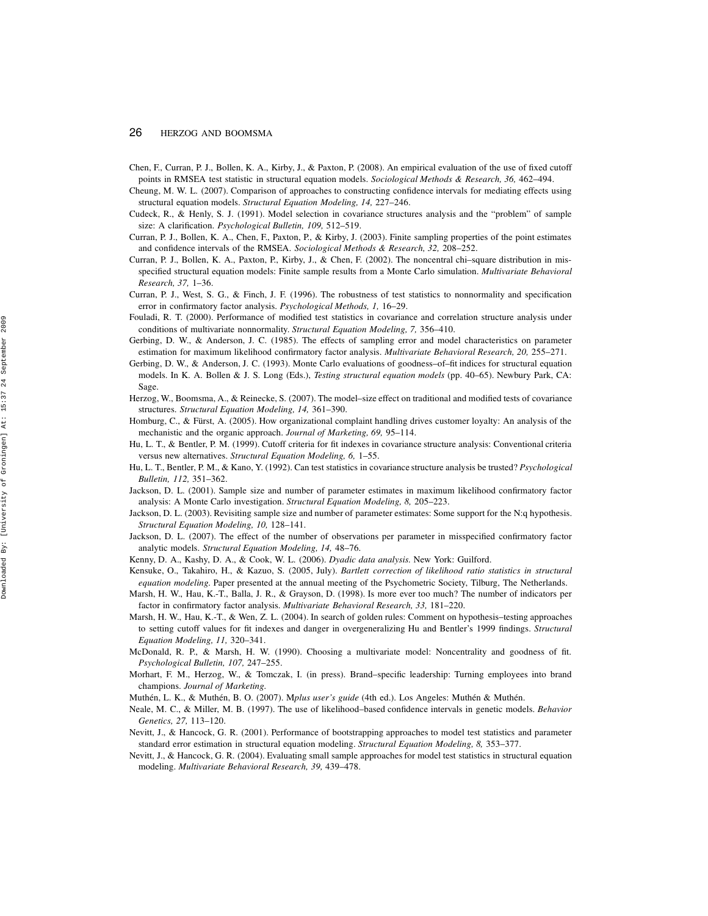Chen, F., Curran, P. J., Bollen, K. A., Kirby, J., & Paxton, P. (2008). An empirical evaluation of the use of fixed cutoff points in RMSEA test statistic in structural equation models. Sociological Methods & Research, 36, 462-494.

Cheung, M. W. L. (2007). Comparison of approaches to constructing confidence intervals for mediating effects using structural equation models. Structural Equation Modeling, 14, 227-246.

Cudeck, R., & Henly, S. J. (1991). Model selection in covariance structures analysis and the "problem" of sample size: A clarification. Psychological Bulletin, 109, 512-519.

Curran, P. J., Bollen, K. A., Chen, F., Paxton, P., & Kirby, J. (2003). Finite sampling properties of the point estimates and confidence intervals of the RMSEA. Sociological Methods & Research, 32, 208–252.

Curran, P. J., Bollen, K. A., Paxton, P., Kirby, J., & Chen, F. (2002). The noncentral chi–square distribution in misspecified structural equation models: Finite sample results from a Monte Carlo simulation. Multivariate Behavioral Research, 37, 1–36.

Curran, P. J., West, S. G., & Finch, J. F. (1996). The robustness of test statistics to nonnormality and specification error in confirmatory factor analysis. Psychological Methods, 1, 16–29.

Fouladi, R. T. (2000). Performance of modified test statistics in covariance and correlation structure analysis under conditions of multivariate nonnormality. Structural Equation Modeling, 7, 356-410.

Gerbing, D. W., & Anderson, J. C. (1985). The effects of sampling error and model characteristics on parameter estimation for maximum likelihood confirmatory factor analysis. Multivariate Behavioral Research, 20, 255–271.

Gerbing, D. W., & Anderson, J. C. (1993). Monte Carlo evaluations of goodness–of–fit indices for structural equation models. In K. A. Bollen & J. S. Long (Eds.), Testing structural equation models (pp. 40-65). Newbury Park, CA: Sage.

Herzog, W., Boomsma, A., & Reinecke, S. (2007). The model–size effect on traditional and modified tests of covariance structures. Structural Equation Modeling, 14, 361–390.

Homburg, C., & Fürst, A. (2005). How organizational complaint handling drives customer loyalty: An analysis of the mechanistic and the organic approach. Journal of Marketing, 69, 95-114.

Hu, L. T., & Bentler, P. M. (1999). Cutoff criteria for fit indexes in covariance structure analysis: Conventional criteria versus new alternatives. Structural Equation Modeling, 6, 1–55.

Hu, L. T., Bentler, P. M., & Kano, Y. (1992). Can test statistics in covariance structure analysis be trusted? Psychological Bulletin, 112, 351–362.

Jackson, D. L. (2001). Sample size and number of parameter estimates in maximum likelihood confirmatory factor analysis: A Monte Carlo investigation. Structural Equation Modeling, 8, 205–223.

Jackson, D. L. (2003). Revisiting sample size and number of parameter estimates: Some support for the N:q hypothesis. Structural Equation Modeling, 10, 128–141.

Jackson, D. L. (2007). The effect of the number of observations per parameter in misspecified confirmatory factor analytic models. Structural Equation Modeling, 14, 48–76.

Kenny, D. A., Kashy, D. A., & Cook, W. L. (2006). Dyadic data analysis. New York: Guilford.

Kensuke, O., Takahiro, H., & Kazuo, S. (2005, July). Bartlett correction of likelihood ratio statistics in structural equation modeling. Paper presented at the annual meeting of the Psychometric Society, Tilburg, The Netherlands.

Marsh, H. W., Hau, K.-T., Balla, J. R., & Grayson, D. (1998). Is more ever too much? The number of indicators per factor in confirmatory factor analysis. Multivariate Behavioral Research, 33, 181–220.

Marsh, H. W., Hau, K.-T., & Wen, Z. L. (2004). In search of golden rules: Comment on hypothesis–testing approaches to setting cutoff values for fit indexes and danger in overgeneralizing Hu and Bentler's 1999 findings. Structural Equation Modeling, 11, 320–341.

McDonald, R. P., & Marsh, H. W. (1990). Choosing a multivariate model: Noncentrality and goodness of fit. Psychological Bulletin, 107, 247–255.

Morhart, F. M., Herzog, W., & Tomczak, I. (in press). Brand–specific leadership: Turning employees into brand champions. Journal of Marketing.

Muthén, L. K., & Muthén, B. O. (2007). Mplus user's guide (4th ed.). Los Angeles: Muthén & Muthén.

Neale, M. C., & Miller, M. B. (1997). The use of likelihood–based confidence intervals in genetic models. Behavior Genetics, 27, 113–120.

Nevitt, J., & Hancock, G. R. (2001). Performance of bootstrapping approaches to model test statistics and parameter standard error estimation in structural equation modeling. Structural Equation Modeling, 8, 353-377.

Nevitt, J., & Hancock, G. R. (2004). Evaluating small sample approaches for model test statistics in structural equation modeling. Multivariate Behavioral Research, 39, 439–478.